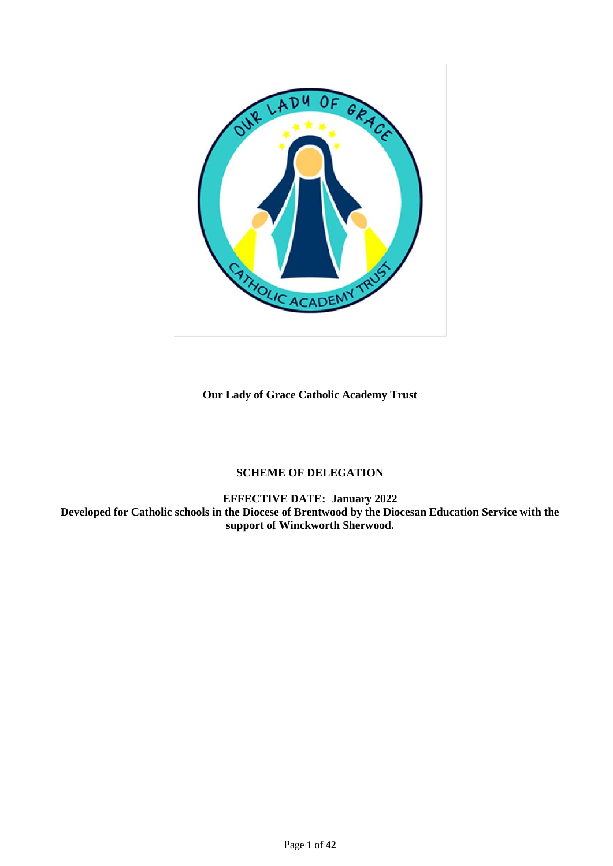

**Our Lady of Grace Catholic Academy Trust**

# **SCHEME OF DELEGATION**

**EFFECTIVE DATE: January 2022 Developed for Catholic schools in the Diocese of Brentwood by the Diocesan Education Service with the support of Winckworth Sherwood.**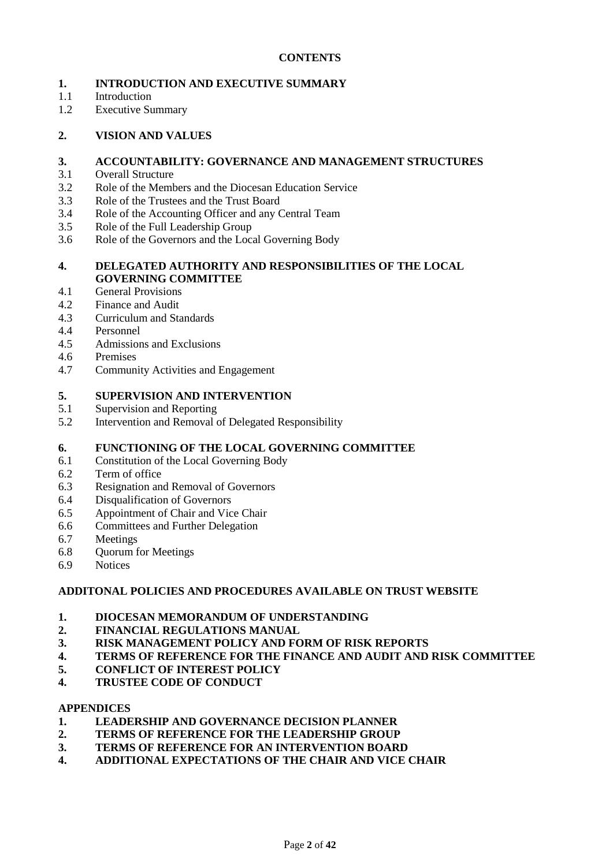# **CONTENTS**

# **1. INTRODUCTION AND EXECUTIVE SUMMARY**

- 1.1 Introduction
- 1.2 Executive Summary

## **2. VISION AND VALUES**

## **3. ACCOUNTABILITY: GOVERNANCE AND MANAGEMENT STRUCTURES**

- 3.1 Overall Structure
- 3.2 Role of the Members and the Diocesan Education Service
- 3.3 Role of the Trustees and the Trust Board
- 3.4 Role of the Accounting Officer and any Central Team
- 3.5 Role of the Full Leadership Group
- 3.6 Role of the Governors and the Local Governing Body

# **4. DELEGATED AUTHORITY AND RESPONSIBILITIES OF THE LOCAL GOVERNING COMMITTEE**

- 4.1 General Provisions
- 4.2 Finance and Audit
- 4.3 Curriculum and Standards
- 4.4 Personnel
- 4.5 Admissions and Exclusions
- 4.6 Premises
- 4.7 Community Activities and Engagement

## **5. SUPERVISION AND INTERVENTION**

- 5.1 Supervision and Reporting
- 5.2 Intervention and Removal of Delegated Responsibility

## **6. FUNCTIONING OF THE LOCAL GOVERNING COMMITTEE**

- 6.1 Constitution of the Local Governing Body
- 6.2 Term of office
- 6.3 Resignation and Removal of Governors
- 6.4 Disqualification of Governors
- 6.5 Appointment of Chair and Vice Chair
- 6.6 Committees and Further Delegation
- 6.7 Meetings
- 6.8 Quorum for Meetings
- 6.9 Notices

## **ADDITONAL POLICIES AND PROCEDURES AVAILABLE ON TRUST WEBSITE**

## **1. DIOCESAN MEMORANDUM OF UNDERSTANDING**

- **2. FINANCIAL REGULATIONS MANUAL**
- **3. RISK MANAGEMENT POLICY AND FORM OF RISK REPORTS**
- **4. TERMS OF REFERENCE FOR THE FINANCE AND AUDIT AND RISK COMMITTEE**
- **5. CONFLICT OF INTEREST POLICY**
- **4. TRUSTEE CODE OF CONDUCT**

#### **APPENDICES**

- **1. LEADERSHIP AND GOVERNANCE DECISION PLANNER**
- **2. TERMS OF REFERENCE FOR THE LEADERSHIP GROUP**
- **3. TERMS OF REFERENCE FOR AN INTERVENTION BOARD**
- **4. ADDITIONAL EXPECTATIONS OF THE CHAIR AND VICE CHAIR**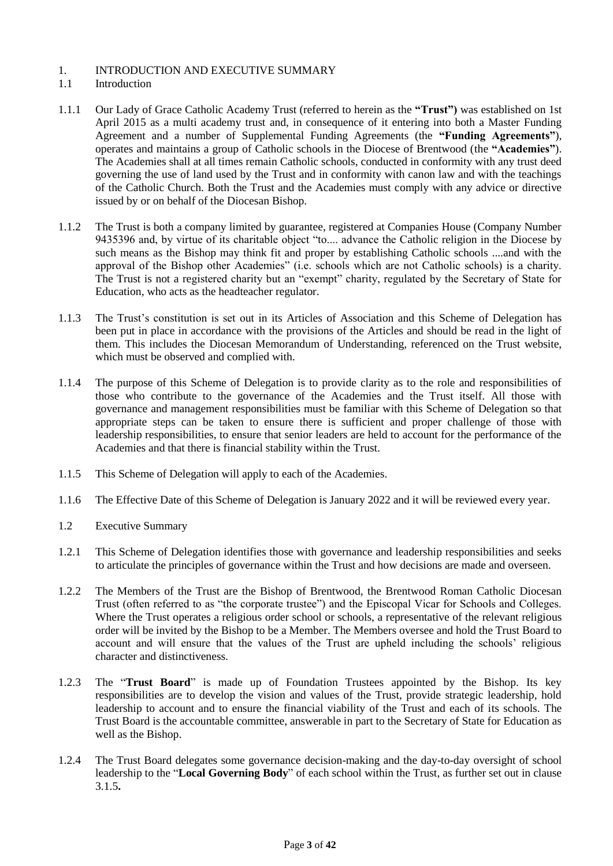## 1. INTRODUCTION AND EXECUTIVE SUMMARY

## 1.1 Introduction

- 1.1.1 Our Lady of Grace Catholic Academy Trust (referred to herein as the **"Trust")** was established on 1st April 2015 as a multi academy trust and, in consequence of it entering into both a Master Funding Agreement and a number of Supplemental Funding Agreements (the **"Funding Agreements"**), operates and maintains a group of Catholic schools in the Diocese of Brentwood (the **"Academies"**). The Academies shall at all times remain Catholic schools, conducted in conformity with any trust deed governing the use of land used by the Trust and in conformity with canon law and with the teachings of the Catholic Church. Both the Trust and the Academies must comply with any advice or directive issued by or on behalf of the Diocesan Bishop.
- 1.1.2 The Trust is both a company limited by guarantee, registered at Companies House (Company Number 9435396 and, by virtue of its charitable object "to.... advance the Catholic religion in the Diocese by such means as the Bishop may think fit and proper by establishing Catholic schools ....and with the approval of the Bishop other Academies" (i.e. schools which are not Catholic schools) is a charity. The Trust is not a registered charity but an "exempt" charity, regulated by the Secretary of State for Education, who acts as the headteacher regulator.
- 1.1.3 The Trust's constitution is set out in its Articles of Association and this Scheme of Delegation has been put in place in accordance with the provisions of the Articles and should be read in the light of them. This includes the Diocesan Memorandum of Understanding, referenced on the Trust website, which must be observed and complied with.
- 1.1.4 The purpose of this Scheme of Delegation is to provide clarity as to the role and responsibilities of those who contribute to the governance of the Academies and the Trust itself. All those with governance and management responsibilities must be familiar with this Scheme of Delegation so that appropriate steps can be taken to ensure there is sufficient and proper challenge of those with leadership responsibilities, to ensure that senior leaders are held to account for the performance of the Academies and that there is financial stability within the Trust.
- 1.1.5 This Scheme of Delegation will apply to each of the Academies.
- 1.1.6 The Effective Date of this Scheme of Delegation is January 2022 and it will be reviewed every year.
- 1.2 Executive Summary
- 1.2.1 This Scheme of Delegation identifies those with governance and leadership responsibilities and seeks to articulate the principles of governance within the Trust and how decisions are made and overseen.
- 1.2.2 The Members of the Trust are the Bishop of Brentwood, the Brentwood Roman Catholic Diocesan Trust (often referred to as "the corporate trustee") and the Episcopal Vicar for Schools and Colleges. Where the Trust operates a religious order school or schools, a representative of the relevant religious order will be invited by the Bishop to be a Member. The Members oversee and hold the Trust Board to account and will ensure that the values of the Trust are upheld including the schools' religious character and distinctiveness.
- 1.2.3 The "**Trust Board**" is made up of Foundation Trustees appointed by the Bishop. Its key responsibilities are to develop the vision and values of the Trust, provide strategic leadership, hold leadership to account and to ensure the financial viability of the Trust and each of its schools. The Trust Board is the accountable committee, answerable in part to the Secretary of State for Education as well as the Bishop.
- 1.2.4 The Trust Board delegates some governance decision-making and the day-to-day oversight of school leadership to the "**Local Governing Body**" of each school within the Trust, as further set out in clause 3.1.5**.**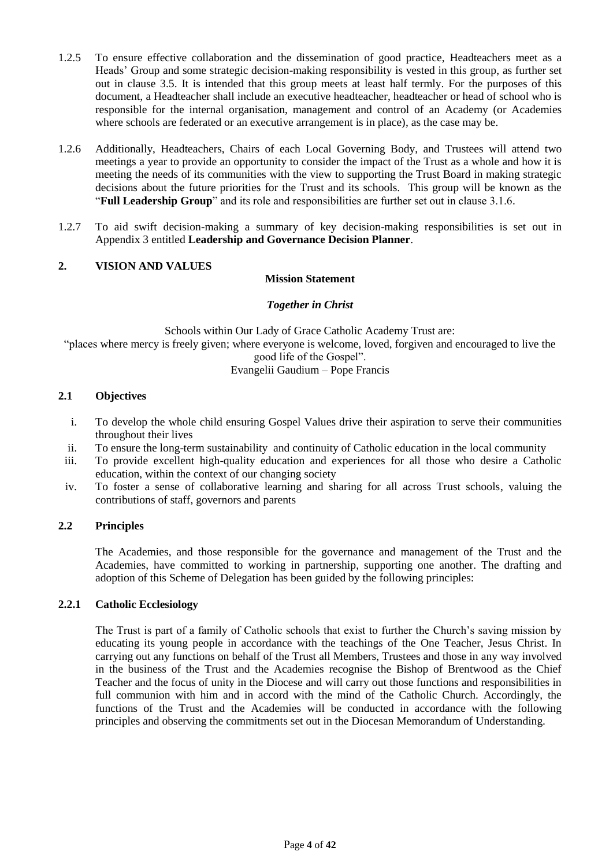- 1.2.5 To ensure effective collaboration and the dissemination of good practice, Headteachers meet as a Heads' Group and some strategic decision-making responsibility is vested in this group, as further set out in clause 3.5. It is intended that this group meets at least half termly. For the purposes of this document, a Headteacher shall include an executive headteacher, headteacher or head of school who is responsible for the internal organisation, management and control of an Academy (or Academies where schools are federated or an executive arrangement is in place), as the case may be.
- 1.2.6 Additionally, Headteachers, Chairs of each Local Governing Body, and Trustees will attend two meetings a year to provide an opportunity to consider the impact of the Trust as a whole and how it is meeting the needs of its communities with the view to supporting the Trust Board in making strategic decisions about the future priorities for the Trust and its schools. This group will be known as the "**Full Leadership Group**" and its role and responsibilities are further set out in clause 3.1.6.
- 1.2.7 To aid swift decision-making a summary of key decision-making responsibilities is set out in Appendix 3 entitled **Leadership and Governance Decision Planner**.

## **2. VISION AND VALUES**

## **Mission Statement**

#### *Together in Christ*

Schools within Our Lady of Grace Catholic Academy Trust are: "places where mercy is freely given; where everyone is welcome, loved, forgiven and encouraged to live the good life of the Gospel". Evangelii Gaudium – Pope Francis

#### **2.1 Objectives**

- i. To develop the whole child ensuring Gospel Values drive their aspiration to serve their communities throughout their lives
- ii. To ensure the long-term sustainability and continuity of Catholic education in the local community
- iii. To provide excellent high-quality education and experiences for all those who desire a Catholic education, within the context of our changing society
- iv. To foster a sense of collaborative learning and sharing for all across Trust schools, valuing the contributions of staff, governors and parents

## **2.2 Principles**

The Academies, and those responsible for the governance and management of the Trust and the Academies, have committed to working in partnership, supporting one another. The drafting and adoption of this Scheme of Delegation has been guided by the following principles:

## **2.2.1 Catholic Ecclesiology**

The Trust is part of a family of Catholic schools that exist to further the Church's saving mission by educating its young people in accordance with the teachings of the One Teacher, Jesus Christ. In carrying out any functions on behalf of the Trust all Members, Trustees and those in any way involved in the business of the Trust and the Academies recognise the Bishop of Brentwood as the Chief Teacher and the focus of unity in the Diocese and will carry out those functions and responsibilities in full communion with him and in accord with the mind of the Catholic Church. Accordingly, the functions of the Trust and the Academies will be conducted in accordance with the following principles and observing the commitments set out in the Diocesan Memorandum of Understanding.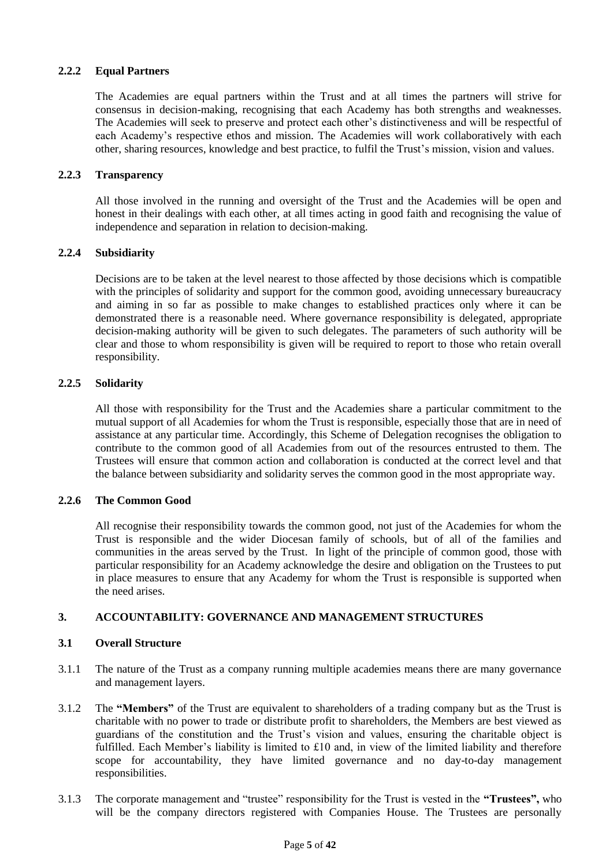# **2.2.2 Equal Partners**

The Academies are equal partners within the Trust and at all times the partners will strive for consensus in decision-making, recognising that each Academy has both strengths and weaknesses. The Academies will seek to preserve and protect each other's distinctiveness and will be respectful of each Academy's respective ethos and mission. The Academies will work collaboratively with each other, sharing resources, knowledge and best practice, to fulfil the Trust's mission, vision and values.

## **2.2.3 Transparency**

All those involved in the running and oversight of the Trust and the Academies will be open and honest in their dealings with each other, at all times acting in good faith and recognising the value of independence and separation in relation to decision-making.

## **2.2.4 Subsidiarity**

Decisions are to be taken at the level nearest to those affected by those decisions which is compatible with the principles of solidarity and support for the common good, avoiding unnecessary bureaucracy and aiming in so far as possible to make changes to established practices only where it can be demonstrated there is a reasonable need. Where governance responsibility is delegated, appropriate decision-making authority will be given to such delegates. The parameters of such authority will be clear and those to whom responsibility is given will be required to report to those who retain overall responsibility.

## **2.2.5 Solidarity**

All those with responsibility for the Trust and the Academies share a particular commitment to the mutual support of all Academies for whom the Trust is responsible, especially those that are in need of assistance at any particular time. Accordingly, this Scheme of Delegation recognises the obligation to contribute to the common good of all Academies from out of the resources entrusted to them. The Trustees will ensure that common action and collaboration is conducted at the correct level and that the balance between subsidiarity and solidarity serves the common good in the most appropriate way.

## **2.2.6 The Common Good**

All recognise their responsibility towards the common good, not just of the Academies for whom the Trust is responsible and the wider Diocesan family of schools, but of all of the families and communities in the areas served by the Trust. In light of the principle of common good, those with particular responsibility for an Academy acknowledge the desire and obligation on the Trustees to put in place measures to ensure that any Academy for whom the Trust is responsible is supported when the need arises.

## **3. ACCOUNTABILITY: GOVERNANCE AND MANAGEMENT STRUCTURES**

## **3.1 Overall Structure**

- 3.1.1 The nature of the Trust as a company running multiple academies means there are many governance and management layers.
- 3.1.2 The **"Members"** of the Trust are equivalent to shareholders of a trading company but as the Trust is charitable with no power to trade or distribute profit to shareholders, the Members are best viewed as guardians of the constitution and the Trust's vision and values, ensuring the charitable object is fulfilled. Each Member's liability is limited to £10 and, in view of the limited liability and therefore scope for accountability, they have limited governance and no day-to-day management responsibilities.
- 3.1.3 The corporate management and "trustee" responsibility for the Trust is vested in the **"Trustees",** who will be the company directors registered with Companies House. The Trustees are personally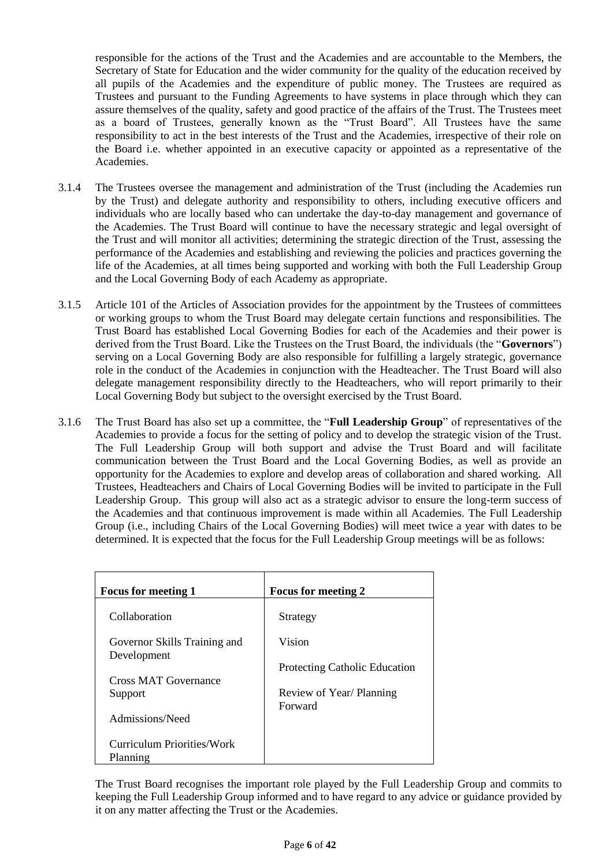responsible for the actions of the Trust and the Academies and are accountable to the Members, the Secretary of State for Education and the wider community for the quality of the education received by all pupils of the Academies and the expenditure of public money. The Trustees are required as Trustees and pursuant to the Funding Agreements to have systems in place through which they can assure themselves of the quality, safety and good practice of the affairs of the Trust. The Trustees meet as a board of Trustees, generally known as the "Trust Board". All Trustees have the same responsibility to act in the best interests of the Trust and the Academies, irrespective of their role on the Board i.e. whether appointed in an executive capacity or appointed as a representative of the Academies.

- 3.1.4 The Trustees oversee the management and administration of the Trust (including the Academies run by the Trust) and delegate authority and responsibility to others, including executive officers and individuals who are locally based who can undertake the day-to-day management and governance of the Academies. The Trust Board will continue to have the necessary strategic and legal oversight of the Trust and will monitor all activities; determining the strategic direction of the Trust, assessing the performance of the Academies and establishing and reviewing the policies and practices governing the life of the Academies, at all times being supported and working with both the Full Leadership Group and the Local Governing Body of each Academy as appropriate.
- 3.1.5 Article 101 of the Articles of Association provides for the appointment by the Trustees of committees or working groups to whom the Trust Board may delegate certain functions and responsibilities. The Trust Board has established Local Governing Bodies for each of the Academies and their power is derived from the Trust Board. Like the Trustees on the Trust Board, the individuals (the "**Governors**") serving on a Local Governing Body are also responsible for fulfilling a largely strategic, governance role in the conduct of the Academies in conjunction with the Headteacher. The Trust Board will also delegate management responsibility directly to the Headteachers, who will report primarily to their Local Governing Body but subject to the oversight exercised by the Trust Board.
- 3.1.6 The Trust Board has also set up a committee, the "**Full Leadership Group**" of representatives of the Academies to provide a focus for the setting of policy and to develop the strategic vision of the Trust. The Full Leadership Group will both support and advise the Trust Board and will facilitate communication between the Trust Board and the Local Governing Bodies, as well as provide an opportunity for the Academies to explore and develop areas of collaboration and shared working. All Trustees, Headteachers and Chairs of Local Governing Bodies will be invited to participate in the Full Leadership Group. This group will also act as a strategic advisor to ensure the long-term success of the Academies and that continuous improvement is made within all Academies. The Full Leadership Group (i.e., including Chairs of the Local Governing Bodies) will meet twice a year with dates to be determined. It is expected that the focus for the Full Leadership Group meetings will be as follows:

| <b>Focus for meeting 1</b>                  | <b>Focus for meeting 2</b>           |
|---------------------------------------------|--------------------------------------|
| Collaboration                               | Strategy                             |
| Governor Skills Training and<br>Development | Vision                               |
|                                             | <b>Protecting Catholic Education</b> |
| Cross MAT Governance                        |                                      |
| Support                                     | Review of Year/ Planning             |
|                                             | Forward                              |
| Admissions/Need                             |                                      |
|                                             |                                      |
| Curriculum Priorities/Work                  |                                      |
| Planning                                    |                                      |

The Trust Board recognises the important role played by the Full Leadership Group and commits to keeping the Full Leadership Group informed and to have regard to any advice or guidance provided by it on any matter affecting the Trust or the Academies.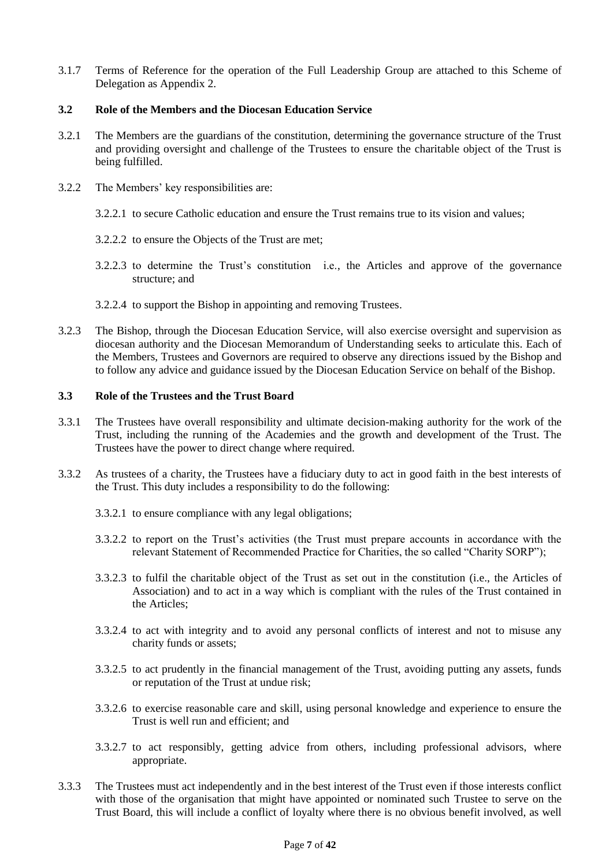3.1.7 Terms of Reference for the operation of the Full Leadership Group are attached to this Scheme of Delegation as Appendix 2.

## **3.2 Role of the Members and the Diocesan Education Service**

- 3.2.1 The Members are the guardians of the constitution, determining the governance structure of the Trust and providing oversight and challenge of the Trustees to ensure the charitable object of the Trust is being fulfilled.
- 3.2.2 The Members' key responsibilities are:
	- 3.2.2.1 to secure Catholic education and ensure the Trust remains true to its vision and values;
	- 3.2.2.2 to ensure the Objects of the Trust are met;
	- 3.2.2.3 to determine the Trust's constitution i.e., the Articles and approve of the governance structure; and
	- 3.2.2.4 to support the Bishop in appointing and removing Trustees.
- 3.2.3 The Bishop, through the Diocesan Education Service, will also exercise oversight and supervision as diocesan authority and the Diocesan Memorandum of Understanding seeks to articulate this. Each of the Members, Trustees and Governors are required to observe any directions issued by the Bishop and to follow any advice and guidance issued by the Diocesan Education Service on behalf of the Bishop.

## **3.3 Role of the Trustees and the Trust Board**

- 3.3.1 The Trustees have overall responsibility and ultimate decision-making authority for the work of the Trust, including the running of the Academies and the growth and development of the Trust. The Trustees have the power to direct change where required.
- 3.3.2 As trustees of a charity, the Trustees have a fiduciary duty to act in good faith in the best interests of the Trust. This duty includes a responsibility to do the following:
	- 3.3.2.1 to ensure compliance with any legal obligations;
	- 3.3.2.2 to report on the Trust's activities (the Trust must prepare accounts in accordance with the relevant Statement of Recommended Practice for Charities, the so called "Charity SORP");
	- 3.3.2.3 to fulfil the charitable object of the Trust as set out in the constitution (i.e., the Articles of Association) and to act in a way which is compliant with the rules of the Trust contained in the Articles;
	- 3.3.2.4 to act with integrity and to avoid any personal conflicts of interest and not to misuse any charity funds or assets;
	- 3.3.2.5 to act prudently in the financial management of the Trust, avoiding putting any assets, funds or reputation of the Trust at undue risk;
	- 3.3.2.6 to exercise reasonable care and skill, using personal knowledge and experience to ensure the Trust is well run and efficient; and
	- 3.3.2.7 to act responsibly, getting advice from others, including professional advisors, where appropriate.
- 3.3.3 The Trustees must act independently and in the best interest of the Trust even if those interests conflict with those of the organisation that might have appointed or nominated such Trustee to serve on the Trust Board, this will include a conflict of loyalty where there is no obvious benefit involved, as well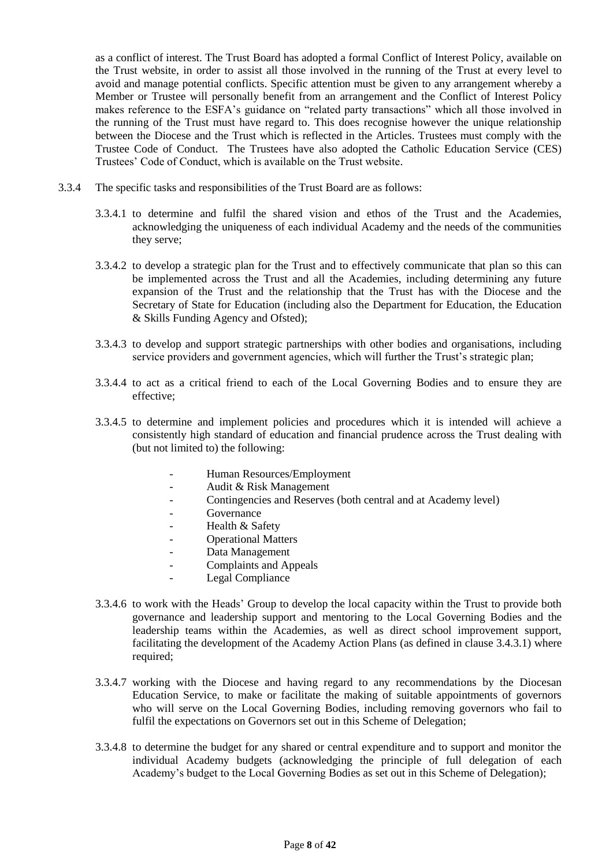as a conflict of interest. The Trust Board has adopted a formal Conflict of Interest Policy, available on the Trust website, in order to assist all those involved in the running of the Trust at every level to avoid and manage potential conflicts. Specific attention must be given to any arrangement whereby a Member or Trustee will personally benefit from an arrangement and the Conflict of Interest Policy makes reference to the ESFA's guidance on "related party transactions" which all those involved in the running of the Trust must have regard to. This does recognise however the unique relationship between the Diocese and the Trust which is reflected in the Articles. Trustees must comply with the Trustee Code of Conduct. The Trustees have also adopted the Catholic Education Service (CES) Trustees' Code of Conduct, which is available on the Trust website.

- 3.3.4 The specific tasks and responsibilities of the Trust Board are as follows:
	- 3.3.4.1 to determine and fulfil the shared vision and ethos of the Trust and the Academies, acknowledging the uniqueness of each individual Academy and the needs of the communities they serve;
	- 3.3.4.2 to develop a strategic plan for the Trust and to effectively communicate that plan so this can be implemented across the Trust and all the Academies, including determining any future expansion of the Trust and the relationship that the Trust has with the Diocese and the Secretary of State for Education (including also the Department for Education, the Education & Skills Funding Agency and Ofsted);
	- 3.3.4.3 to develop and support strategic partnerships with other bodies and organisations, including service providers and government agencies, which will further the Trust's strategic plan;
	- 3.3.4.4 to act as a critical friend to each of the Local Governing Bodies and to ensure they are effective;
	- 3.3.4.5 to determine and implement policies and procedures which it is intended will achieve a consistently high standard of education and financial prudence across the Trust dealing with (but not limited to) the following:
		- Human Resources/Employment
		- Audit & Risk Management
		- Contingencies and Reserves (both central and at Academy level)
		- **Governance**
		- Health & Safety
		- Operational Matters
		- Data Management
		- Complaints and Appeals
		- Legal Compliance
	- 3.3.4.6 to work with the Heads' Group to develop the local capacity within the Trust to provide both governance and leadership support and mentoring to the Local Governing Bodies and the leadership teams within the Academies, as well as direct school improvement support, facilitating the development of the Academy Action Plans (as defined in clause 3.4.3.1) where required;
	- 3.3.4.7 working with the Diocese and having regard to any recommendations by the Diocesan Education Service, to make or facilitate the making of suitable appointments of governors who will serve on the Local Governing Bodies, including removing governors who fail to fulfil the expectations on Governors set out in this Scheme of Delegation;
	- 3.3.4.8 to determine the budget for any shared or central expenditure and to support and monitor the individual Academy budgets (acknowledging the principle of full delegation of each Academy's budget to the Local Governing Bodies as set out in this Scheme of Delegation);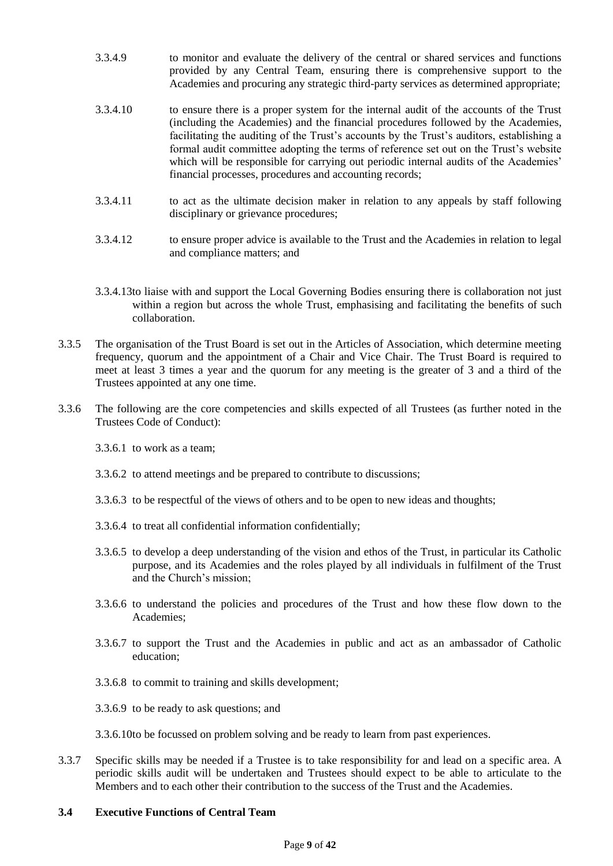- 3.3.4.9 to monitor and evaluate the delivery of the central or shared services and functions provided by any Central Team, ensuring there is comprehensive support to the Academies and procuring any strategic third-party services as determined appropriate;
- 3.3.4.10 to ensure there is a proper system for the internal audit of the accounts of the Trust (including the Academies) and the financial procedures followed by the Academies, facilitating the auditing of the Trust's accounts by the Trust's auditors, establishing a formal audit committee adopting the terms of reference set out on the Trust's website which will be responsible for carrying out periodic internal audits of the Academies' financial processes, procedures and accounting records;
- 3.3.4.11 to act as the ultimate decision maker in relation to any appeals by staff following disciplinary or grievance procedures;
- 3.3.4.12 to ensure proper advice is available to the Trust and the Academies in relation to legal and compliance matters; and
- 3.3.4.13to liaise with and support the Local Governing Bodies ensuring there is collaboration not just within a region but across the whole Trust, emphasising and facilitating the benefits of such collaboration.
- 3.3.5 The organisation of the Trust Board is set out in the Articles of Association, which determine meeting frequency, quorum and the appointment of a Chair and Vice Chair. The Trust Board is required to meet at least 3 times a year and the quorum for any meeting is the greater of 3 and a third of the Trustees appointed at any one time.
- 3.3.6 The following are the core competencies and skills expected of all Trustees (as further noted in the Trustees Code of Conduct):
	- 3.3.6.1 to work as a team;
	- 3.3.6.2 to attend meetings and be prepared to contribute to discussions;
	- 3.3.6.3 to be respectful of the views of others and to be open to new ideas and thoughts;
	- 3.3.6.4 to treat all confidential information confidentially;
	- 3.3.6.5 to develop a deep understanding of the vision and ethos of the Trust, in particular its Catholic purpose, and its Academies and the roles played by all individuals in fulfilment of the Trust and the Church's mission;
	- 3.3.6.6 to understand the policies and procedures of the Trust and how these flow down to the Academies;
	- 3.3.6.7 to support the Trust and the Academies in public and act as an ambassador of Catholic education;
	- 3.3.6.8 to commit to training and skills development;
	- 3.3.6.9 to be ready to ask questions; and
	- 3.3.6.10to be focussed on problem solving and be ready to learn from past experiences.
- 3.3.7 Specific skills may be needed if a Trustee is to take responsibility for and lead on a specific area. A periodic skills audit will be undertaken and Trustees should expect to be able to articulate to the Members and to each other their contribution to the success of the Trust and the Academies.

#### **3.4 Executive Functions of Central Team**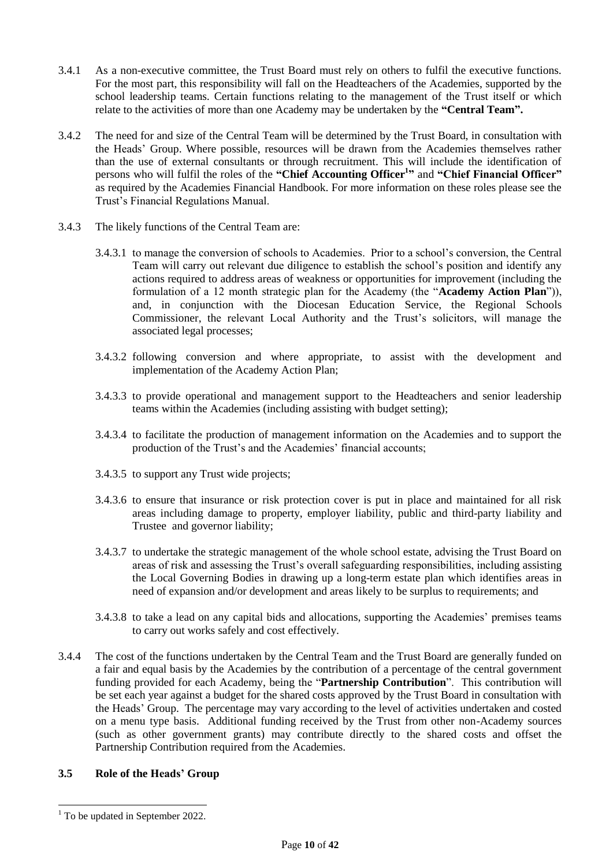- 3.4.1 As a non-executive committee, the Trust Board must rely on others to fulfil the executive functions. For the most part, this responsibility will fall on the Headteachers of the Academies, supported by the school leadership teams. Certain functions relating to the management of the Trust itself or which relate to the activities of more than one Academy may be undertaken by the **"Central Team".**
- 3.4.2 The need for and size of the Central Team will be determined by the Trust Board, in consultation with the Heads' Group. Where possible, resources will be drawn from the Academies themselves rather than the use of external consultants or through recruitment. This will include the identification of persons who will fulfil the roles of the **"Chief Accounting Officer<sup>1</sup> "** and **"Chief Financial Officer"** as required by the Academies Financial Handbook. For more information on these roles please see the Trust's Financial Regulations Manual.
- 3.4.3 The likely functions of the Central Team are:
	- 3.4.3.1 to manage the conversion of schools to Academies. Prior to a school's conversion, the Central Team will carry out relevant due diligence to establish the school's position and identify any actions required to address areas of weakness or opportunities for improvement (including the formulation of a 12 month strategic plan for the Academy (the "**Academy Action Plan**")), and, in conjunction with the Diocesan Education Service, the Regional Schools Commissioner, the relevant Local Authority and the Trust's solicitors, will manage the associated legal processes;
	- 3.4.3.2 following conversion and where appropriate, to assist with the development and implementation of the Academy Action Plan;
	- 3.4.3.3 to provide operational and management support to the Headteachers and senior leadership teams within the Academies (including assisting with budget setting);
	- 3.4.3.4 to facilitate the production of management information on the Academies and to support the production of the Trust's and the Academies' financial accounts;
	- 3.4.3.5 to support any Trust wide projects;
	- 3.4.3.6 to ensure that insurance or risk protection cover is put in place and maintained for all risk areas including damage to property, employer liability, public and third-party liability and Trustee and governor liability;
	- 3.4.3.7 to undertake the strategic management of the whole school estate, advising the Trust Board on areas of risk and assessing the Trust's overall safeguarding responsibilities, including assisting the Local Governing Bodies in drawing up a long-term estate plan which identifies areas in need of expansion and/or development and areas likely to be surplus to requirements; and
	- 3.4.3.8 to take a lead on any capital bids and allocations, supporting the Academies' premises teams to carry out works safely and cost effectively.
- 3.4.4 The cost of the functions undertaken by the Central Team and the Trust Board are generally funded on a fair and equal basis by the Academies by the contribution of a percentage of the central government funding provided for each Academy, being the "**Partnership Contribution**". This contribution will be set each year against a budget for the shared costs approved by the Trust Board in consultation with the Heads' Group. The percentage may vary according to the level of activities undertaken and costed on a menu type basis. Additional funding received by the Trust from other non-Academy sources (such as other government grants) may contribute directly to the shared costs and offset the Partnership Contribution required from the Academies.

# **3.5 Role of the Heads' Group**

 $\overline{a}$ 

 $1$  To be updated in September 2022.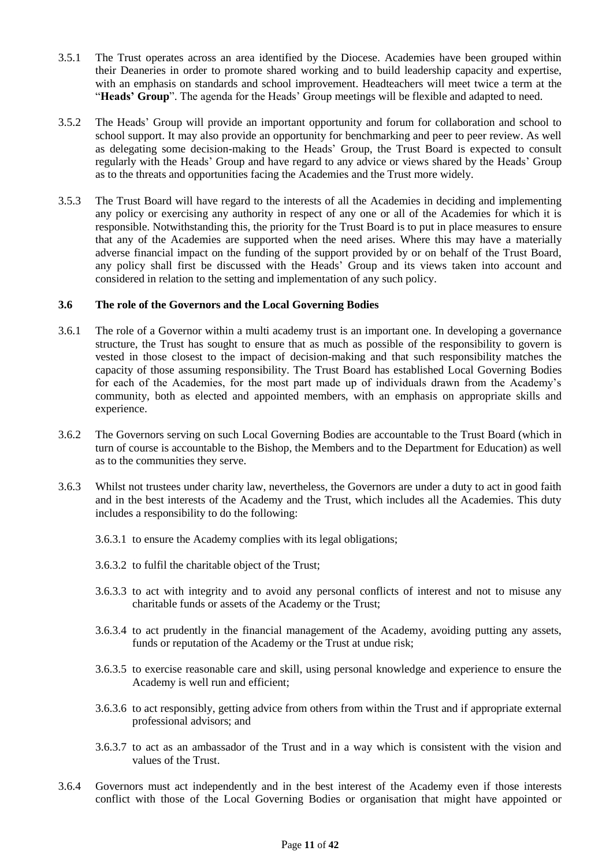- 3.5.1 The Trust operates across an area identified by the Diocese. Academies have been grouped within their Deaneries in order to promote shared working and to build leadership capacity and expertise, with an emphasis on standards and school improvement. Headteachers will meet twice a term at the "**Heads' Group**". The agenda for the Heads' Group meetings will be flexible and adapted to need.
- 3.5.2 The Heads' Group will provide an important opportunity and forum for collaboration and school to school support. It may also provide an opportunity for benchmarking and peer to peer review. As well as delegating some decision-making to the Heads' Group, the Trust Board is expected to consult regularly with the Heads' Group and have regard to any advice or views shared by the Heads' Group as to the threats and opportunities facing the Academies and the Trust more widely.
- 3.5.3 The Trust Board will have regard to the interests of all the Academies in deciding and implementing any policy or exercising any authority in respect of any one or all of the Academies for which it is responsible. Notwithstanding this, the priority for the Trust Board is to put in place measures to ensure that any of the Academies are supported when the need arises. Where this may have a materially adverse financial impact on the funding of the support provided by or on behalf of the Trust Board, any policy shall first be discussed with the Heads' Group and its views taken into account and considered in relation to the setting and implementation of any such policy.

## **3.6 The role of the Governors and the Local Governing Bodies**

- 3.6.1 The role of a Governor within a multi academy trust is an important one. In developing a governance structure, the Trust has sought to ensure that as much as possible of the responsibility to govern is vested in those closest to the impact of decision-making and that such responsibility matches the capacity of those assuming responsibility. The Trust Board has established Local Governing Bodies for each of the Academies, for the most part made up of individuals drawn from the Academy's community, both as elected and appointed members, with an emphasis on appropriate skills and experience.
- 3.6.2 The Governors serving on such Local Governing Bodies are accountable to the Trust Board (which in turn of course is accountable to the Bishop, the Members and to the Department for Education) as well as to the communities they serve.
- 3.6.3 Whilst not trustees under charity law, nevertheless, the Governors are under a duty to act in good faith and in the best interests of the Academy and the Trust, which includes all the Academies. This duty includes a responsibility to do the following:
	- 3.6.3.1 to ensure the Academy complies with its legal obligations;
	- 3.6.3.2 to fulfil the charitable object of the Trust;
	- 3.6.3.3 to act with integrity and to avoid any personal conflicts of interest and not to misuse any charitable funds or assets of the Academy or the Trust;
	- 3.6.3.4 to act prudently in the financial management of the Academy, avoiding putting any assets, funds or reputation of the Academy or the Trust at undue risk;
	- 3.6.3.5 to exercise reasonable care and skill, using personal knowledge and experience to ensure the Academy is well run and efficient;
	- 3.6.3.6 to act responsibly, getting advice from others from within the Trust and if appropriate external professional advisors; and
	- 3.6.3.7 to act as an ambassador of the Trust and in a way which is consistent with the vision and values of the Trust.
- 3.6.4 Governors must act independently and in the best interest of the Academy even if those interests conflict with those of the Local Governing Bodies or organisation that might have appointed or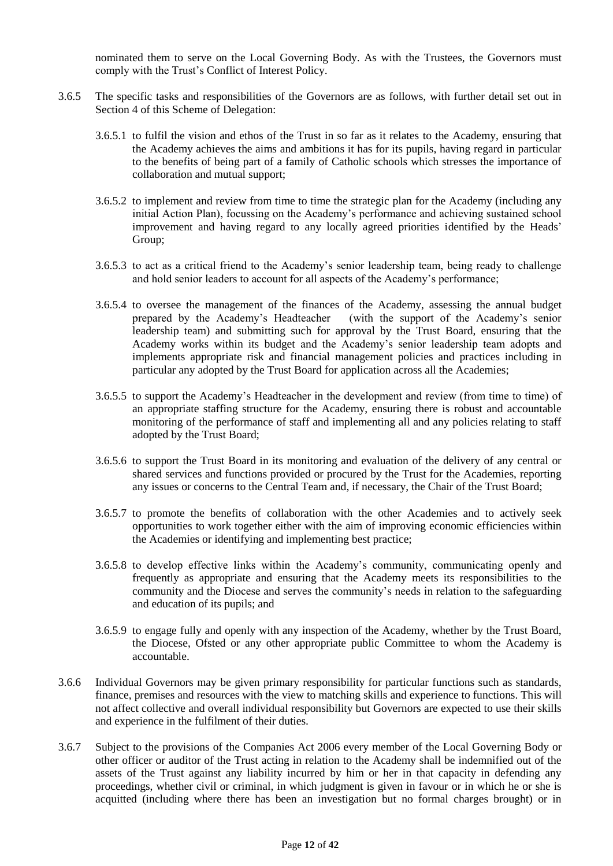nominated them to serve on the Local Governing Body. As with the Trustees, the Governors must comply with the Trust's Conflict of Interest Policy.

- 3.6.5 The specific tasks and responsibilities of the Governors are as follows, with further detail set out in Section 4 of this Scheme of Delegation:
	- 3.6.5.1 to fulfil the vision and ethos of the Trust in so far as it relates to the Academy, ensuring that the Academy achieves the aims and ambitions it has for its pupils, having regard in particular to the benefits of being part of a family of Catholic schools which stresses the importance of collaboration and mutual support;
	- 3.6.5.2 to implement and review from time to time the strategic plan for the Academy (including any initial Action Plan), focussing on the Academy's performance and achieving sustained school improvement and having regard to any locally agreed priorities identified by the Heads' Group;
	- 3.6.5.3 to act as a critical friend to the Academy's senior leadership team, being ready to challenge and hold senior leaders to account for all aspects of the Academy's performance;
	- 3.6.5.4 to oversee the management of the finances of the Academy, assessing the annual budget prepared by the Academy's Headteacher (with the support of the Academy's senior leadership team) and submitting such for approval by the Trust Board, ensuring that the Academy works within its budget and the Academy's senior leadership team adopts and implements appropriate risk and financial management policies and practices including in particular any adopted by the Trust Board for application across all the Academies;
	- 3.6.5.5 to support the Academy's Headteacher in the development and review (from time to time) of an appropriate staffing structure for the Academy, ensuring there is robust and accountable monitoring of the performance of staff and implementing all and any policies relating to staff adopted by the Trust Board;
	- 3.6.5.6 to support the Trust Board in its monitoring and evaluation of the delivery of any central or shared services and functions provided or procured by the Trust for the Academies, reporting any issues or concerns to the Central Team and, if necessary, the Chair of the Trust Board;
	- 3.6.5.7 to promote the benefits of collaboration with the other Academies and to actively seek opportunities to work together either with the aim of improving economic efficiencies within the Academies or identifying and implementing best practice;
	- 3.6.5.8 to develop effective links within the Academy's community, communicating openly and frequently as appropriate and ensuring that the Academy meets its responsibilities to the community and the Diocese and serves the community's needs in relation to the safeguarding and education of its pupils; and
	- 3.6.5.9 to engage fully and openly with any inspection of the Academy, whether by the Trust Board, the Diocese, Ofsted or any other appropriate public Committee to whom the Academy is accountable.
- 3.6.6 Individual Governors may be given primary responsibility for particular functions such as standards, finance, premises and resources with the view to matching skills and experience to functions. This will not affect collective and overall individual responsibility but Governors are expected to use their skills and experience in the fulfilment of their duties.
- 3.6.7 Subject to the provisions of the Companies Act 2006 every member of the Local Governing Body or other officer or auditor of the Trust acting in relation to the Academy shall be indemnified out of the assets of the Trust against any liability incurred by him or her in that capacity in defending any proceedings, whether civil or criminal, in which judgment is given in favour or in which he or she is acquitted (including where there has been an investigation but no formal charges brought) or in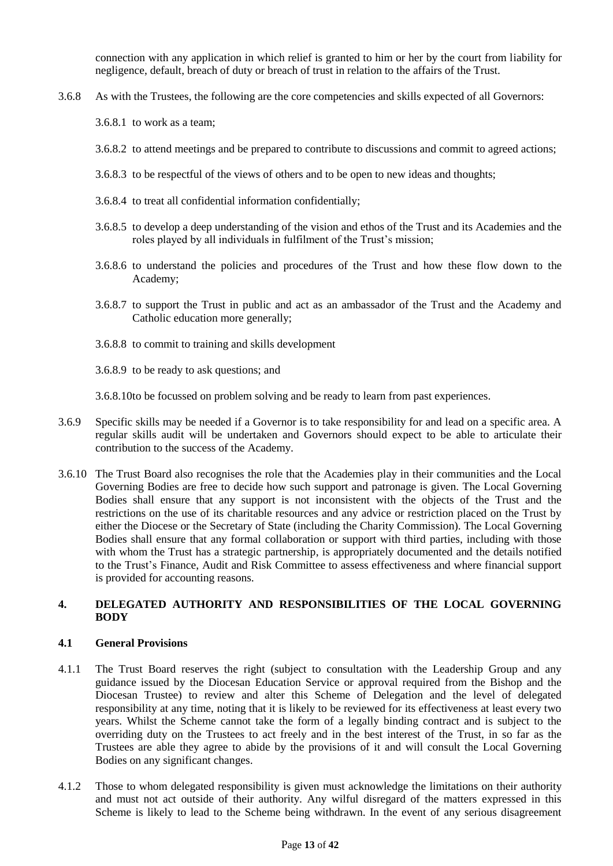connection with any application in which relief is granted to him or her by the court from liability for negligence, default, breach of duty or breach of trust in relation to the affairs of the Trust.

- 3.6.8 As with the Trustees, the following are the core competencies and skills expected of all Governors:
	- 3.6.8.1 to work as a team;
	- 3.6.8.2 to attend meetings and be prepared to contribute to discussions and commit to agreed actions;
	- 3.6.8.3 to be respectful of the views of others and to be open to new ideas and thoughts;
	- 3.6.8.4 to treat all confidential information confidentially;
	- 3.6.8.5 to develop a deep understanding of the vision and ethos of the Trust and its Academies and the roles played by all individuals in fulfilment of the Trust's mission;
	- 3.6.8.6 to understand the policies and procedures of the Trust and how these flow down to the Academy;
	- 3.6.8.7 to support the Trust in public and act as an ambassador of the Trust and the Academy and Catholic education more generally;
	- 3.6.8.8 to commit to training and skills development
	- 3.6.8.9 to be ready to ask questions; and
	- 3.6.8.10to be focussed on problem solving and be ready to learn from past experiences.
- 3.6.9 Specific skills may be needed if a Governor is to take responsibility for and lead on a specific area. A regular skills audit will be undertaken and Governors should expect to be able to articulate their contribution to the success of the Academy.
- 3.6.10 The Trust Board also recognises the role that the Academies play in their communities and the Local Governing Bodies are free to decide how such support and patronage is given. The Local Governing Bodies shall ensure that any support is not inconsistent with the objects of the Trust and the restrictions on the use of its charitable resources and any advice or restriction placed on the Trust by either the Diocese or the Secretary of State (including the Charity Commission). The Local Governing Bodies shall ensure that any formal collaboration or support with third parties, including with those with whom the Trust has a strategic partnership, is appropriately documented and the details notified to the Trust's Finance, Audit and Risk Committee to assess effectiveness and where financial support is provided for accounting reasons.

## **4. DELEGATED AUTHORITY AND RESPONSIBILITIES OF THE LOCAL GOVERNING BODY**

## **4.1 General Provisions**

- 4.1.1 The Trust Board reserves the right (subject to consultation with the Leadership Group and any guidance issued by the Diocesan Education Service or approval required from the Bishop and the Diocesan Trustee) to review and alter this Scheme of Delegation and the level of delegated responsibility at any time, noting that it is likely to be reviewed for its effectiveness at least every two years. Whilst the Scheme cannot take the form of a legally binding contract and is subject to the overriding duty on the Trustees to act freely and in the best interest of the Trust, in so far as the Trustees are able they agree to abide by the provisions of it and will consult the Local Governing Bodies on any significant changes.
- 4.1.2 Those to whom delegated responsibility is given must acknowledge the limitations on their authority and must not act outside of their authority. Any wilful disregard of the matters expressed in this Scheme is likely to lead to the Scheme being withdrawn. In the event of any serious disagreement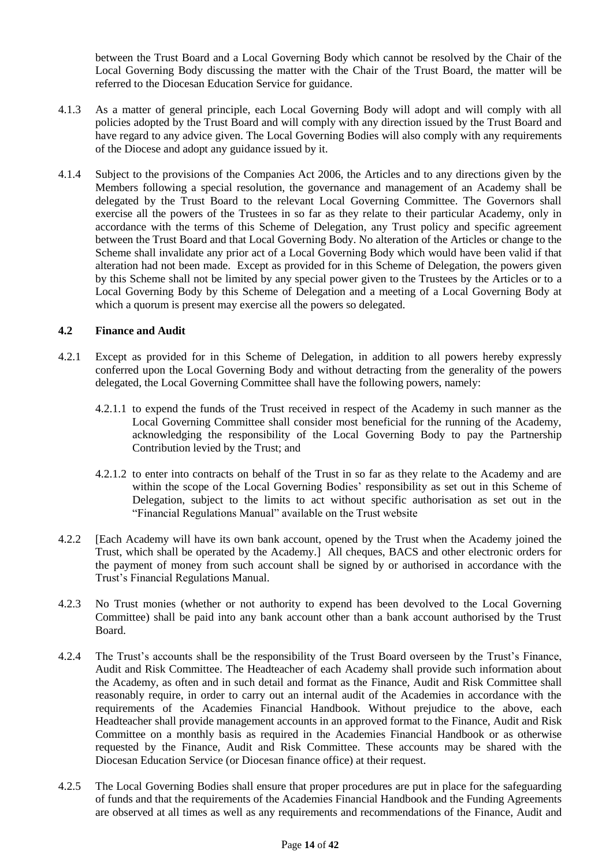between the Trust Board and a Local Governing Body which cannot be resolved by the Chair of the Local Governing Body discussing the matter with the Chair of the Trust Board, the matter will be referred to the Diocesan Education Service for guidance.

- 4.1.3 As a matter of general principle, each Local Governing Body will adopt and will comply with all policies adopted by the Trust Board and will comply with any direction issued by the Trust Board and have regard to any advice given. The Local Governing Bodies will also comply with any requirements of the Diocese and adopt any guidance issued by it.
- 4.1.4 Subject to the provisions of the Companies Act 2006, the Articles and to any directions given by the Members following a special resolution, the governance and management of an Academy shall be delegated by the Trust Board to the relevant Local Governing Committee. The Governors shall exercise all the powers of the Trustees in so far as they relate to their particular Academy, only in accordance with the terms of this Scheme of Delegation, any Trust policy and specific agreement between the Trust Board and that Local Governing Body. No alteration of the Articles or change to the Scheme shall invalidate any prior act of a Local Governing Body which would have been valid if that alteration had not been made. Except as provided for in this Scheme of Delegation, the powers given by this Scheme shall not be limited by any special power given to the Trustees by the Articles or to a Local Governing Body by this Scheme of Delegation and a meeting of a Local Governing Body at which a quorum is present may exercise all the powers so delegated.

## **4.2 Finance and Audit**

- 4.2.1 Except as provided for in this Scheme of Delegation, in addition to all powers hereby expressly conferred upon the Local Governing Body and without detracting from the generality of the powers delegated, the Local Governing Committee shall have the following powers, namely:
	- 4.2.1.1 to expend the funds of the Trust received in respect of the Academy in such manner as the Local Governing Committee shall consider most beneficial for the running of the Academy, acknowledging the responsibility of the Local Governing Body to pay the Partnership Contribution levied by the Trust; and
	- 4.2.1.2 to enter into contracts on behalf of the Trust in so far as they relate to the Academy and are within the scope of the Local Governing Bodies' responsibility as set out in this Scheme of Delegation, subject to the limits to act without specific authorisation as set out in the "Financial Regulations Manual" available on the Trust website
- 4.2.2 [Each Academy will have its own bank account, opened by the Trust when the Academy joined the Trust, which shall be operated by the Academy.] All cheques, BACS and other electronic orders for the payment of money from such account shall be signed by or authorised in accordance with the Trust's Financial Regulations Manual.
- 4.2.3 No Trust monies (whether or not authority to expend has been devolved to the Local Governing Committee) shall be paid into any bank account other than a bank account authorised by the Trust Board.
- 4.2.4 The Trust's accounts shall be the responsibility of the Trust Board overseen by the Trust's Finance, Audit and Risk Committee. The Headteacher of each Academy shall provide such information about the Academy, as often and in such detail and format as the Finance, Audit and Risk Committee shall reasonably require, in order to carry out an internal audit of the Academies in accordance with the requirements of the Academies Financial Handbook. Without prejudice to the above, each Headteacher shall provide management accounts in an approved format to the Finance, Audit and Risk Committee on a monthly basis as required in the Academies Financial Handbook or as otherwise requested by the Finance, Audit and Risk Committee. These accounts may be shared with the Diocesan Education Service (or Diocesan finance office) at their request.
- 4.2.5 The Local Governing Bodies shall ensure that proper procedures are put in place for the safeguarding of funds and that the requirements of the Academies Financial Handbook and the Funding Agreements are observed at all times as well as any requirements and recommendations of the Finance, Audit and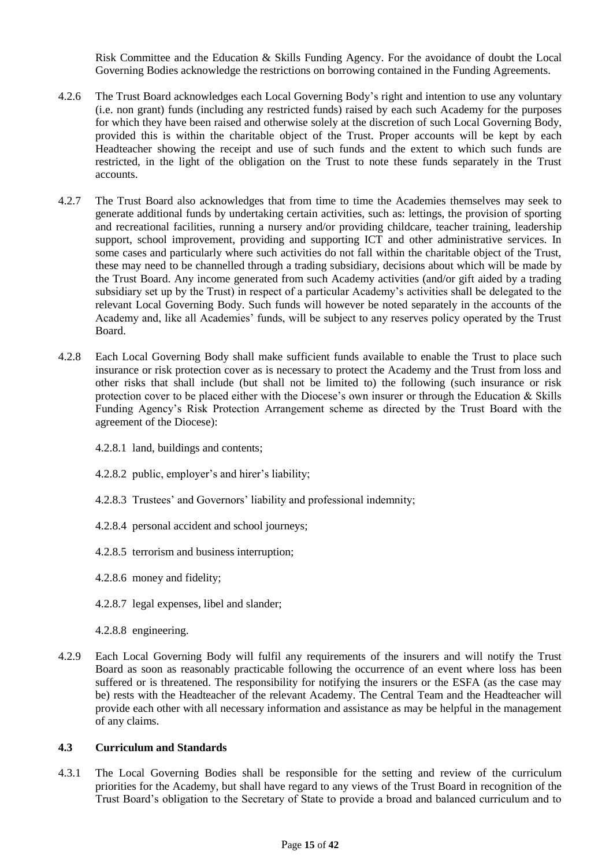Risk Committee and the Education & Skills Funding Agency. For the avoidance of doubt the Local Governing Bodies acknowledge the restrictions on borrowing contained in the Funding Agreements.

- 4.2.6 The Trust Board acknowledges each Local Governing Body's right and intention to use any voluntary (i.e. non grant) funds (including any restricted funds) raised by each such Academy for the purposes for which they have been raised and otherwise solely at the discretion of such Local Governing Body, provided this is within the charitable object of the Trust. Proper accounts will be kept by each Headteacher showing the receipt and use of such funds and the extent to which such funds are restricted, in the light of the obligation on the Trust to note these funds separately in the Trust accounts.
- 4.2.7 The Trust Board also acknowledges that from time to time the Academies themselves may seek to generate additional funds by undertaking certain activities, such as: lettings, the provision of sporting and recreational facilities, running a nursery and/or providing childcare, teacher training, leadership support, school improvement, providing and supporting ICT and other administrative services. In some cases and particularly where such activities do not fall within the charitable object of the Trust, these may need to be channelled through a trading subsidiary, decisions about which will be made by the Trust Board. Any income generated from such Academy activities (and/or gift aided by a trading subsidiary set up by the Trust) in respect of a particular Academy's activities shall be delegated to the relevant Local Governing Body. Such funds will however be noted separately in the accounts of the Academy and, like all Academies' funds, will be subject to any reserves policy operated by the Trust Board.
- 4.2.8 Each Local Governing Body shall make sufficient funds available to enable the Trust to place such insurance or risk protection cover as is necessary to protect the Academy and the Trust from loss and other risks that shall include (but shall not be limited to) the following (such insurance or risk protection cover to be placed either with the Diocese's own insurer or through the Education & Skills Funding Agency's Risk Protection Arrangement scheme as directed by the Trust Board with the agreement of the Diocese):
	- 4.2.8.1 land, buildings and contents;
	- 4.2.8.2 public, employer's and hirer's liability;
	- 4.2.8.3 Trustees' and Governors' liability and professional indemnity;
	- 4.2.8.4 personal accident and school journeys;
	- 4.2.8.5 terrorism and business interruption;
	- 4.2.8.6 money and fidelity;
	- 4.2.8.7 legal expenses, libel and slander;
	- 4.2.8.8 engineering.
- 4.2.9 Each Local Governing Body will fulfil any requirements of the insurers and will notify the Trust Board as soon as reasonably practicable following the occurrence of an event where loss has been suffered or is threatened. The responsibility for notifying the insurers or the ESFA (as the case may be) rests with the Headteacher of the relevant Academy. The Central Team and the Headteacher will provide each other with all necessary information and assistance as may be helpful in the management of any claims.

## **4.3 Curriculum and Standards**

4.3.1 The Local Governing Bodies shall be responsible for the setting and review of the curriculum priorities for the Academy, but shall have regard to any views of the Trust Board in recognition of the Trust Board's obligation to the Secretary of State to provide a broad and balanced curriculum and to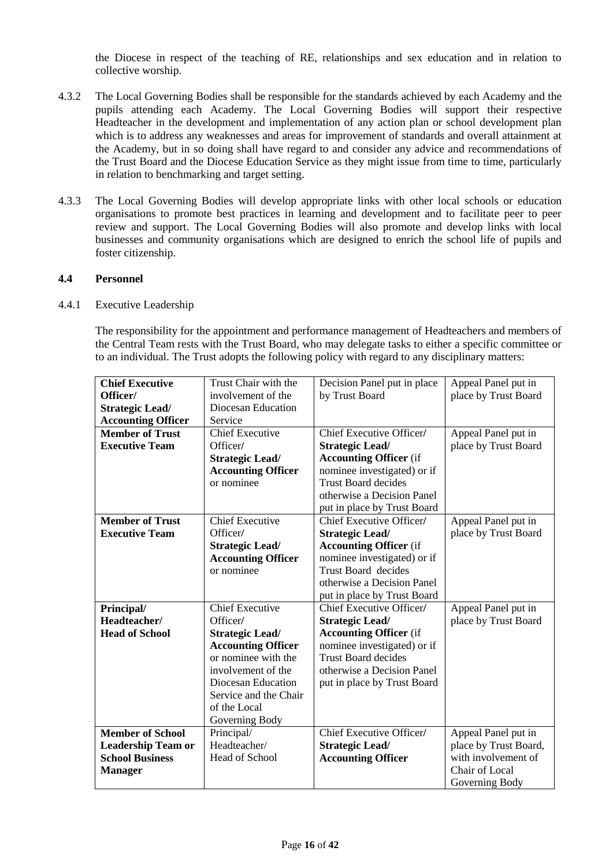the Diocese in respect of the teaching of RE, relationships and sex education and in relation to collective worship.

- 4.3.2 The Local Governing Bodies shall be responsible for the standards achieved by each Academy and the pupils attending each Academy. The Local Governing Bodies will support their respective Headteacher in the development and implementation of any action plan or school development plan which is to address any weaknesses and areas for improvement of standards and overall attainment at the Academy, but in so doing shall have regard to and consider any advice and recommendations of the Trust Board and the Diocese Education Service as they might issue from time to time, particularly in relation to benchmarking and target setting.
- 4.3.3 The Local Governing Bodies will develop appropriate links with other local schools or education organisations to promote best practices in learning and development and to facilitate peer to peer review and support. The Local Governing Bodies will also promote and develop links with local businesses and community organisations which are designed to enrich the school life of pupils and foster citizenship.

## **4.4 Personnel**

#### 4.4.1 Executive Leadership

The responsibility for the appointment and performance management of Headteachers and members of the Central Team rests with the Trust Board, who may delegate tasks to either a specific committee or to an individual. The Trust adopts the following policy with regard to any disciplinary matters:

| <b>Chief Executive</b>    | Trust Chair with the      | Decision Panel put in place     | Appeal Panel put in   |
|---------------------------|---------------------------|---------------------------------|-----------------------|
| Officer/                  | involvement of the        | by Trust Board                  | place by Trust Board  |
| <b>Strategic Lead/</b>    | Diocesan Education        |                                 |                       |
| <b>Accounting Officer</b> | Service                   |                                 |                       |
| <b>Member of Trust</b>    | <b>Chief Executive</b>    | Chief Executive Officer/        | Appeal Panel put in   |
| <b>Executive Team</b>     | Officer/                  | <b>Strategic Lead/</b>          | place by Trust Board  |
|                           | <b>Strategic Lead/</b>    | <b>Accounting Officer</b> (if   |                       |
|                           | <b>Accounting Officer</b> | nominee investigated) or if     |                       |
|                           | or nominee                | <b>Trust Board decides</b>      |                       |
|                           |                           | otherwise a Decision Panel      |                       |
|                           |                           | put in place by Trust Board     |                       |
| <b>Member of Trust</b>    | <b>Chief Executive</b>    | <b>Chief Executive Officer/</b> | Appeal Panel put in   |
| <b>Executive Team</b>     | Officer/                  | <b>Strategic Lead/</b>          | place by Trust Board  |
|                           | <b>Strategic Lead/</b>    | <b>Accounting Officer</b> (if   |                       |
|                           | <b>Accounting Officer</b> | nominee investigated) or if     |                       |
|                           | or nominee                | Trust Board decides             |                       |
|                           |                           | otherwise a Decision Panel      |                       |
|                           |                           | put in place by Trust Board     |                       |
| Principal/                | <b>Chief Executive</b>    | Chief Executive Officer/        | Appeal Panel put in   |
| Headteacher/              | Officer/                  | <b>Strategic Lead/</b>          | place by Trust Board  |
| <b>Head of School</b>     | <b>Strategic Lead/</b>    | <b>Accounting Officer</b> (if   |                       |
|                           | <b>Accounting Officer</b> | nominee investigated) or if     |                       |
|                           | or nominee with the       | <b>Trust Board decides</b>      |                       |
|                           | involvement of the        | otherwise a Decision Panel      |                       |
|                           | Diocesan Education        | put in place by Trust Board     |                       |
|                           | Service and the Chair     |                                 |                       |
|                           | of the Local              |                                 |                       |
|                           | Governing Body            |                                 |                       |
| <b>Member of School</b>   | Principal/                | Chief Executive Officer/        | Appeal Panel put in   |
| <b>Leadership Team or</b> | Headteacher/              | <b>Strategic Lead/</b>          | place by Trust Board, |
| <b>School Business</b>    | Head of School            | <b>Accounting Officer</b>       | with involvement of   |
| <b>Manager</b>            |                           |                                 | Chair of Local        |
|                           |                           |                                 | Governing Body        |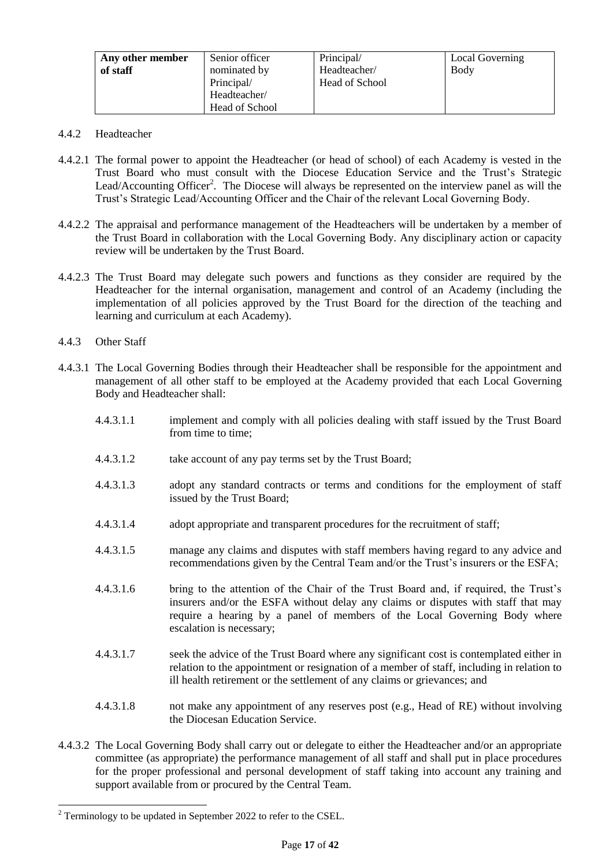| Any other member<br>of staff | Senior officer<br>nominated by<br>Principal/ | Principal/<br>Headteacher/<br><b>Head of School</b> | <b>Local Governing</b><br>Body |
|------------------------------|----------------------------------------------|-----------------------------------------------------|--------------------------------|
|                              | Headteacher/                                 |                                                     |                                |
|                              | Head of School                               |                                                     |                                |

- 4.4.2 Headteacher
- 4.4.2.1 The formal power to appoint the Headteacher (or head of school) of each Academy is vested in the Trust Board who must consult with the Diocese Education Service and the Trust's Strategic Lead/Accounting Officer<sup>2</sup>. The Diocese will always be represented on the interview panel as will the Trust's Strategic Lead/Accounting Officer and the Chair of the relevant Local Governing Body.
- 4.4.2.2 The appraisal and performance management of the Headteachers will be undertaken by a member of the Trust Board in collaboration with the Local Governing Body. Any disciplinary action or capacity review will be undertaken by the Trust Board.
- 4.4.2.3 The Trust Board may delegate such powers and functions as they consider are required by the Headteacher for the internal organisation, management and control of an Academy (including the implementation of all policies approved by the Trust Board for the direction of the teaching and learning and curriculum at each Academy).
- 4.4.3 Other Staff
- 4.4.3.1 The Local Governing Bodies through their Headteacher shall be responsible for the appointment and management of all other staff to be employed at the Academy provided that each Local Governing Body and Headteacher shall:
	- 4.4.3.1.1 implement and comply with all policies dealing with staff issued by the Trust Board from time to time:
	- 4.4.3.1.2 take account of any pay terms set by the Trust Board;
	- 4.4.3.1.3 adopt any standard contracts or terms and conditions for the employment of staff issued by the Trust Board;
	- 4.4.3.1.4 adopt appropriate and transparent procedures for the recruitment of staff;
	- 4.4.3.1.5 manage any claims and disputes with staff members having regard to any advice and recommendations given by the Central Team and/or the Trust's insurers or the ESFA;
	- 4.4.3.1.6 bring to the attention of the Chair of the Trust Board and, if required, the Trust's insurers and/or the ESFA without delay any claims or disputes with staff that may require a hearing by a panel of members of the Local Governing Body where escalation is necessary;
	- 4.4.3.1.7 seek the advice of the Trust Board where any significant cost is contemplated either in relation to the appointment or resignation of a member of staff, including in relation to ill health retirement or the settlement of any claims or grievances; and
	- 4.4.3.1.8 not make any appointment of any reserves post (e.g., Head of RE) without involving the Diocesan Education Service.
- 4.4.3.2 The Local Governing Body shall carry out or delegate to either the Headteacher and/or an appropriate committee (as appropriate) the performance management of all staff and shall put in place procedures for the proper professional and personal development of staff taking into account any training and support available from or procured by the Central Team.

 $\overline{a}$  $2$  Terminology to be updated in September 2022 to refer to the CSEL.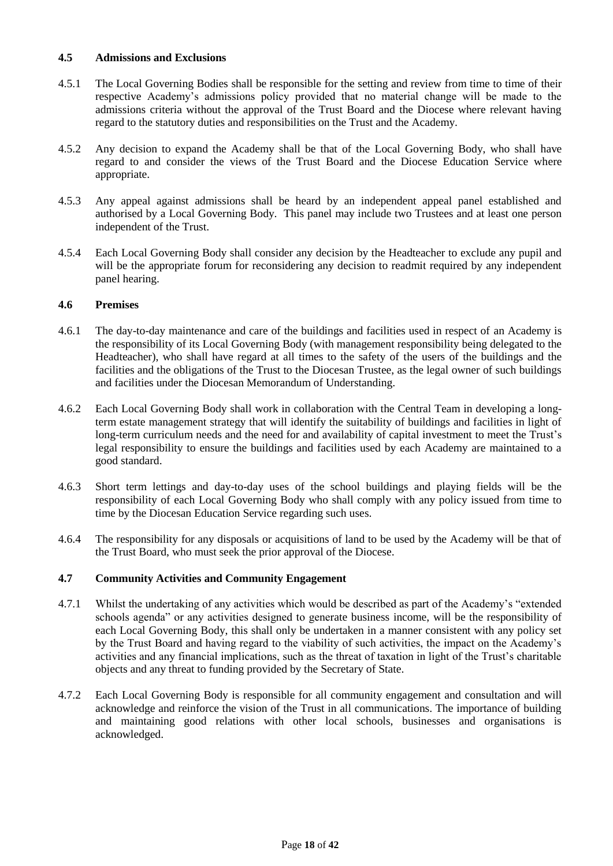## **4.5 Admissions and Exclusions**

- 4.5.1 The Local Governing Bodies shall be responsible for the setting and review from time to time of their respective Academy's admissions policy provided that no material change will be made to the admissions criteria without the approval of the Trust Board and the Diocese where relevant having regard to the statutory duties and responsibilities on the Trust and the Academy.
- 4.5.2 Any decision to expand the Academy shall be that of the Local Governing Body, who shall have regard to and consider the views of the Trust Board and the Diocese Education Service where appropriate.
- 4.5.3 Any appeal against admissions shall be heard by an independent appeal panel established and authorised by a Local Governing Body. This panel may include two Trustees and at least one person independent of the Trust.
- 4.5.4 Each Local Governing Body shall consider any decision by the Headteacher to exclude any pupil and will be the appropriate forum for reconsidering any decision to readmit required by any independent panel hearing.

## **4.6 Premises**

- 4.6.1 The day-to-day maintenance and care of the buildings and facilities used in respect of an Academy is the responsibility of its Local Governing Body (with management responsibility being delegated to the Headteacher), who shall have regard at all times to the safety of the users of the buildings and the facilities and the obligations of the Trust to the Diocesan Trustee, as the legal owner of such buildings and facilities under the Diocesan Memorandum of Understanding.
- 4.6.2 Each Local Governing Body shall work in collaboration with the Central Team in developing a longterm estate management strategy that will identify the suitability of buildings and facilities in light of long-term curriculum needs and the need for and availability of capital investment to meet the Trust's legal responsibility to ensure the buildings and facilities used by each Academy are maintained to a good standard.
- 4.6.3 Short term lettings and day-to-day uses of the school buildings and playing fields will be the responsibility of each Local Governing Body who shall comply with any policy issued from time to time by the Diocesan Education Service regarding such uses.
- 4.6.4 The responsibility for any disposals or acquisitions of land to be used by the Academy will be that of the Trust Board, who must seek the prior approval of the Diocese.

## **4.7 Community Activities and Community Engagement**

- 4.7.1 Whilst the undertaking of any activities which would be described as part of the Academy's "extended schools agenda" or any activities designed to generate business income, will be the responsibility of each Local Governing Body, this shall only be undertaken in a manner consistent with any policy set by the Trust Board and having regard to the viability of such activities, the impact on the Academy's activities and any financial implications, such as the threat of taxation in light of the Trust's charitable objects and any threat to funding provided by the Secretary of State.
- 4.7.2 Each Local Governing Body is responsible for all community engagement and consultation and will acknowledge and reinforce the vision of the Trust in all communications. The importance of building and maintaining good relations with other local schools, businesses and organisations is acknowledged.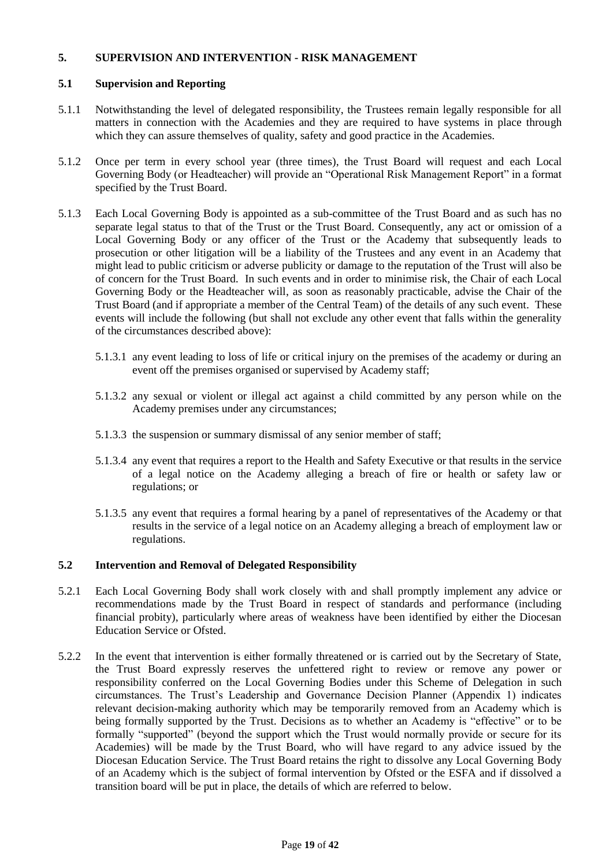# **5. SUPERVISION AND INTERVENTION - RISK MANAGEMENT**

## **5.1 Supervision and Reporting**

- 5.1.1 Notwithstanding the level of delegated responsibility, the Trustees remain legally responsible for all matters in connection with the Academies and they are required to have systems in place through which they can assure themselves of quality, safety and good practice in the Academies.
- 5.1.2 Once per term in every school year (three times), the Trust Board will request and each Local Governing Body (or Headteacher) will provide an "Operational Risk Management Report" in a format specified by the Trust Board.
- 5.1.3 Each Local Governing Body is appointed as a sub-committee of the Trust Board and as such has no separate legal status to that of the Trust or the Trust Board. Consequently, any act or omission of a Local Governing Body or any officer of the Trust or the Academy that subsequently leads to prosecution or other litigation will be a liability of the Trustees and any event in an Academy that might lead to public criticism or adverse publicity or damage to the reputation of the Trust will also be of concern for the Trust Board. In such events and in order to minimise risk, the Chair of each Local Governing Body or the Headteacher will, as soon as reasonably practicable, advise the Chair of the Trust Board (and if appropriate a member of the Central Team) of the details of any such event. These events will include the following (but shall not exclude any other event that falls within the generality of the circumstances described above):
	- 5.1.3.1 any event leading to loss of life or critical injury on the premises of the academy or during an event off the premises organised or supervised by Academy staff;
	- 5.1.3.2 any sexual or violent or illegal act against a child committed by any person while on the Academy premises under any circumstances;
	- 5.1.3.3 the suspension or summary dismissal of any senior member of staff;
	- 5.1.3.4 any event that requires a report to the Health and Safety Executive or that results in the service of a legal notice on the Academy alleging a breach of fire or health or safety law or regulations; or
	- 5.1.3.5 any event that requires a formal hearing by a panel of representatives of the Academy or that results in the service of a legal notice on an Academy alleging a breach of employment law or regulations.

# **5.2 Intervention and Removal of Delegated Responsibility**

- 5.2.1 Each Local Governing Body shall work closely with and shall promptly implement any advice or recommendations made by the Trust Board in respect of standards and performance (including financial probity), particularly where areas of weakness have been identified by either the Diocesan Education Service or Ofsted.
- 5.2.2 In the event that intervention is either formally threatened or is carried out by the Secretary of State, the Trust Board expressly reserves the unfettered right to review or remove any power or responsibility conferred on the Local Governing Bodies under this Scheme of Delegation in such circumstances. The Trust's Leadership and Governance Decision Planner (Appendix 1) indicates relevant decision-making authority which may be temporarily removed from an Academy which is being formally supported by the Trust. Decisions as to whether an Academy is "effective" or to be formally "supported" (beyond the support which the Trust would normally provide or secure for its Academies) will be made by the Trust Board, who will have regard to any advice issued by the Diocesan Education Service. The Trust Board retains the right to dissolve any Local Governing Body of an Academy which is the subject of formal intervention by Ofsted or the ESFA and if dissolved a transition board will be put in place, the details of which are referred to below.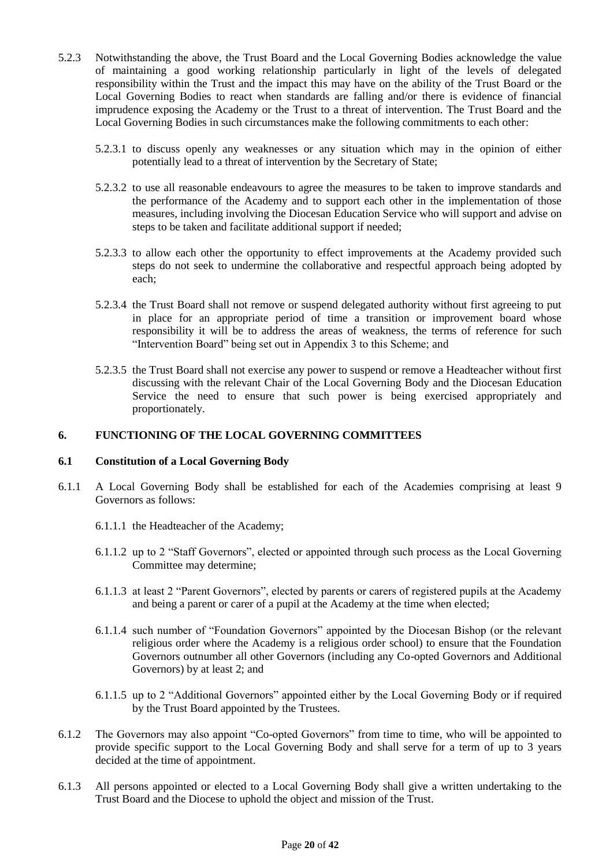- 5.2.3 Notwithstanding the above, the Trust Board and the Local Governing Bodies acknowledge the value of maintaining a good working relationship particularly in light of the levels of delegated responsibility within the Trust and the impact this may have on the ability of the Trust Board or the Local Governing Bodies to react when standards are falling and/or there is evidence of financial imprudence exposing the Academy or the Trust to a threat of intervention. The Trust Board and the Local Governing Bodies in such circumstances make the following commitments to each other:
	- 5.2.3.1 to discuss openly any weaknesses or any situation which may in the opinion of either potentially lead to a threat of intervention by the Secretary of State;
	- 5.2.3.2 to use all reasonable endeavours to agree the measures to be taken to improve standards and the performance of the Academy and to support each other in the implementation of those measures, including involving the Diocesan Education Service who will support and advise on steps to be taken and facilitate additional support if needed;
	- 5.2.3.3 to allow each other the opportunity to effect improvements at the Academy provided such steps do not seek to undermine the collaborative and respectful approach being adopted by each;
	- 5.2.3.4 the Trust Board shall not remove or suspend delegated authority without first agreeing to put in place for an appropriate period of time a transition or improvement board whose responsibility it will be to address the areas of weakness, the terms of reference for such "Intervention Board" being set out in Appendix 3 to this Scheme; and
	- 5.2.3.5 the Trust Board shall not exercise any power to suspend or remove a Headteacher without first discussing with the relevant Chair of the Local Governing Body and the Diocesan Education Service the need to ensure that such power is being exercised appropriately and proportionately.

## **6. FUNCTIONING OF THE LOCAL GOVERNING COMMITTEES**

## **6.1 Constitution of a Local Governing Body**

- 6.1.1 A Local Governing Body shall be established for each of the Academies comprising at least 9 Governors as follows:
	- 6.1.1.1 the Headteacher of the Academy;
	- 6.1.1.2 up to 2 "Staff Governors", elected or appointed through such process as the Local Governing Committee may determine;
	- 6.1.1.3 at least 2 "Parent Governors", elected by parents or carers of registered pupils at the Academy and being a parent or carer of a pupil at the Academy at the time when elected;
	- 6.1.1.4 such number of "Foundation Governors" appointed by the Diocesan Bishop (or the relevant religious order where the Academy is a religious order school) to ensure that the Foundation Governors outnumber all other Governors (including any Co-opted Governors and Additional Governors) by at least 2; and
	- 6.1.1.5 up to 2 "Additional Governors" appointed either by the Local Governing Body or if required by the Trust Board appointed by the Trustees.
- 6.1.2 The Governors may also appoint "Co-opted Governors" from time to time, who will be appointed to provide specific support to the Local Governing Body and shall serve for a term of up to 3 years decided at the time of appointment.
- 6.1.3 All persons appointed or elected to a Local Governing Body shall give a written undertaking to the Trust Board and the Diocese to uphold the object and mission of the Trust.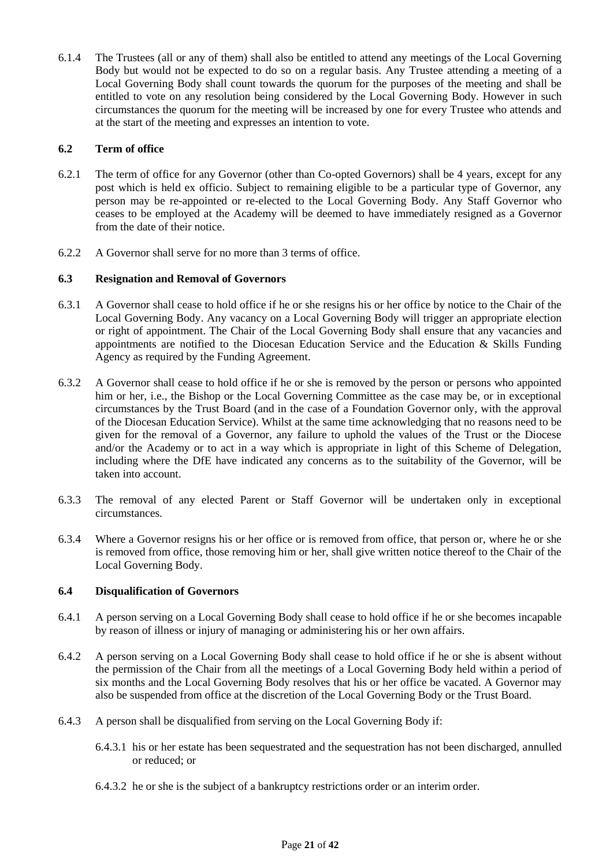6.1.4 The Trustees (all or any of them) shall also be entitled to attend any meetings of the Local Governing Body but would not be expected to do so on a regular basis. Any Trustee attending a meeting of a Local Governing Body shall count towards the quorum for the purposes of the meeting and shall be entitled to vote on any resolution being considered by the Local Governing Body. However in such circumstances the quorum for the meeting will be increased by one for every Trustee who attends and at the start of the meeting and expresses an intention to vote.

## **6.2 Term of office**

- 6.2.1 The term of office for any Governor (other than Co-opted Governors) shall be 4 years, except for any post which is held ex officio. Subject to remaining eligible to be a particular type of Governor, any person may be re-appointed or re-elected to the Local Governing Body. Any Staff Governor who ceases to be employed at the Academy will be deemed to have immediately resigned as a Governor from the date of their notice.
- 6.2.2 A Governor shall serve for no more than 3 terms of office.

## **6.3 Resignation and Removal of Governors**

- 6.3.1 A Governor shall cease to hold office if he or she resigns his or her office by notice to the Chair of the Local Governing Body. Any vacancy on a Local Governing Body will trigger an appropriate election or right of appointment. The Chair of the Local Governing Body shall ensure that any vacancies and appointments are notified to the Diocesan Education Service and the Education & Skills Funding Agency as required by the Funding Agreement.
- 6.3.2 A Governor shall cease to hold office if he or she is removed by the person or persons who appointed him or her, i.e., the Bishop or the Local Governing Committee as the case may be, or in exceptional circumstances by the Trust Board (and in the case of a Foundation Governor only, with the approval of the Diocesan Education Service). Whilst at the same time acknowledging that no reasons need to be given for the removal of a Governor, any failure to uphold the values of the Trust or the Diocese and/or the Academy or to act in a way which is appropriate in light of this Scheme of Delegation, including where the DfE have indicated any concerns as to the suitability of the Governor, will be taken into account.
- 6.3.3 The removal of any elected Parent or Staff Governor will be undertaken only in exceptional circumstances.
- 6.3.4 Where a Governor resigns his or her office or is removed from office, that person or, where he or she is removed from office, those removing him or her, shall give written notice thereof to the Chair of the Local Governing Body.

## **6.4 Disqualification of Governors**

- 6.4.1 A person serving on a Local Governing Body shall cease to hold office if he or she becomes incapable by reason of illness or injury of managing or administering his or her own affairs.
- 6.4.2 A person serving on a Local Governing Body shall cease to hold office if he or she is absent without the permission of the Chair from all the meetings of a Local Governing Body held within a period of six months and the Local Governing Body resolves that his or her office be vacated. A Governor may also be suspended from office at the discretion of the Local Governing Body or the Trust Board.
- 6.4.3 A person shall be disqualified from serving on the Local Governing Body if:
	- 6.4.3.1 his or her estate has been sequestrated and the sequestration has not been discharged, annulled or reduced; or
	- 6.4.3.2 he or she is the subject of a bankruptcy restrictions order or an interim order.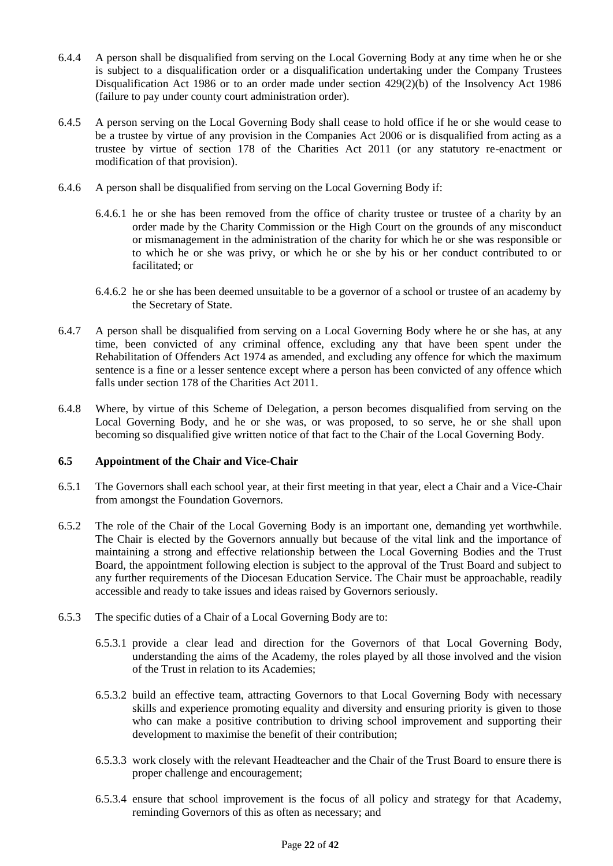- 6.4.4 A person shall be disqualified from serving on the Local Governing Body at any time when he or she is subject to a disqualification order or a disqualification undertaking under the Company Trustees Disqualification Act 1986 or to an order made under section  $429(2)(b)$  of the Insolvency Act 1986 (failure to pay under county court administration order).
- 6.4.5 A person serving on the Local Governing Body shall cease to hold office if he or she would cease to be a trustee by virtue of any provision in the Companies Act 2006 or is disqualified from acting as a trustee by virtue of section 178 of the Charities Act 2011 (or any statutory re-enactment or modification of that provision).
- 6.4.6 A person shall be disqualified from serving on the Local Governing Body if:
	- 6.4.6.1 he or she has been removed from the office of charity trustee or trustee of a charity by an order made by the Charity Commission or the High Court on the grounds of any misconduct or mismanagement in the administration of the charity for which he or she was responsible or to which he or she was privy, or which he or she by his or her conduct contributed to or facilitated; or
	- 6.4.6.2 he or she has been deemed unsuitable to be a governor of a school or trustee of an academy by the Secretary of State.
- 6.4.7 A person shall be disqualified from serving on a Local Governing Body where he or she has, at any time, been convicted of any criminal offence, excluding any that have been spent under the Rehabilitation of Offenders Act 1974 as amended, and excluding any offence for which the maximum sentence is a fine or a lesser sentence except where a person has been convicted of any offence which falls under section 178 of the Charities Act 2011.
- 6.4.8 Where, by virtue of this Scheme of Delegation, a person becomes disqualified from serving on the Local Governing Body, and he or she was, or was proposed, to so serve, he or she shall upon becoming so disqualified give written notice of that fact to the Chair of the Local Governing Body.

## **6.5 Appointment of the Chair and Vice-Chair**

- 6.5.1 The Governors shall each school year, at their first meeting in that year, elect a Chair and a Vice-Chair from amongst the Foundation Governors.
- 6.5.2 The role of the Chair of the Local Governing Body is an important one, demanding yet worthwhile. The Chair is elected by the Governors annually but because of the vital link and the importance of maintaining a strong and effective relationship between the Local Governing Bodies and the Trust Board, the appointment following election is subject to the approval of the Trust Board and subject to any further requirements of the Diocesan Education Service. The Chair must be approachable, readily accessible and ready to take issues and ideas raised by Governors seriously.
- 6.5.3 The specific duties of a Chair of a Local Governing Body are to:
	- 6.5.3.1 provide a clear lead and direction for the Governors of that Local Governing Body, understanding the aims of the Academy, the roles played by all those involved and the vision of the Trust in relation to its Academies;
	- 6.5.3.2 build an effective team, attracting Governors to that Local Governing Body with necessary skills and experience promoting equality and diversity and ensuring priority is given to those who can make a positive contribution to driving school improvement and supporting their development to maximise the benefit of their contribution;
	- 6.5.3.3 work closely with the relevant Headteacher and the Chair of the Trust Board to ensure there is proper challenge and encouragement;
	- 6.5.3.4 ensure that school improvement is the focus of all policy and strategy for that Academy, reminding Governors of this as often as necessary; and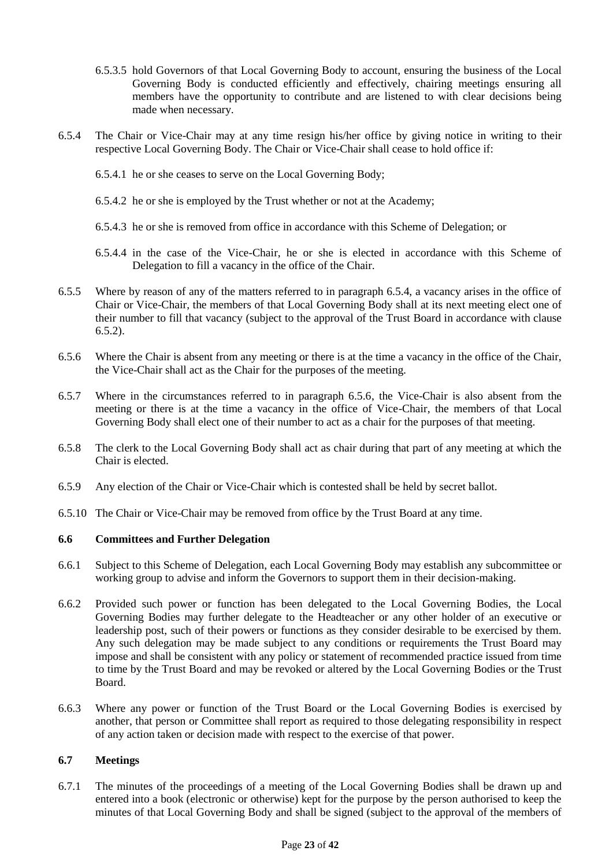- 6.5.3.5 hold Governors of that Local Governing Body to account, ensuring the business of the Local Governing Body is conducted efficiently and effectively, chairing meetings ensuring all members have the opportunity to contribute and are listened to with clear decisions being made when necessary.
- 6.5.4 The Chair or Vice-Chair may at any time resign his/her office by giving notice in writing to their respective Local Governing Body. The Chair or Vice-Chair shall cease to hold office if:
	- 6.5.4.1 he or she ceases to serve on the Local Governing Body;
	- 6.5.4.2 he or she is employed by the Trust whether or not at the Academy;
	- 6.5.4.3 he or she is removed from office in accordance with this Scheme of Delegation; or
	- 6.5.4.4 in the case of the Vice-Chair, he or she is elected in accordance with this Scheme of Delegation to fill a vacancy in the office of the Chair.
- 6.5.5 Where by reason of any of the matters referred to in paragraph 6.5.4, a vacancy arises in the office of Chair or Vice-Chair, the members of that Local Governing Body shall at its next meeting elect one of their number to fill that vacancy (subject to the approval of the Trust Board in accordance with clause  $6.5.2$ ).
- 6.5.6 Where the Chair is absent from any meeting or there is at the time a vacancy in the office of the Chair, the Vice-Chair shall act as the Chair for the purposes of the meeting.
- 6.5.7 Where in the circumstances referred to in paragraph 6.5.6, the Vice-Chair is also absent from the meeting or there is at the time a vacancy in the office of Vice-Chair, the members of that Local Governing Body shall elect one of their number to act as a chair for the purposes of that meeting.
- 6.5.8 The clerk to the Local Governing Body shall act as chair during that part of any meeting at which the Chair is elected.
- 6.5.9 Any election of the Chair or Vice-Chair which is contested shall be held by secret ballot.
- 6.5.10 The Chair or Vice-Chair may be removed from office by the Trust Board at any time.

## **6.6 Committees and Further Delegation**

- 6.6.1 Subject to this Scheme of Delegation, each Local Governing Body may establish any subcommittee or working group to advise and inform the Governors to support them in their decision-making.
- 6.6.2 Provided such power or function has been delegated to the Local Governing Bodies, the Local Governing Bodies may further delegate to the Headteacher or any other holder of an executive or leadership post, such of their powers or functions as they consider desirable to be exercised by them. Any such delegation may be made subject to any conditions or requirements the Trust Board may impose and shall be consistent with any policy or statement of recommended practice issued from time to time by the Trust Board and may be revoked or altered by the Local Governing Bodies or the Trust Board.
- 6.6.3 Where any power or function of the Trust Board or the Local Governing Bodies is exercised by another, that person or Committee shall report as required to those delegating responsibility in respect of any action taken or decision made with respect to the exercise of that power.

## **6.7 Meetings**

6.7.1 The minutes of the proceedings of a meeting of the Local Governing Bodies shall be drawn up and entered into a book (electronic or otherwise) kept for the purpose by the person authorised to keep the minutes of that Local Governing Body and shall be signed (subject to the approval of the members of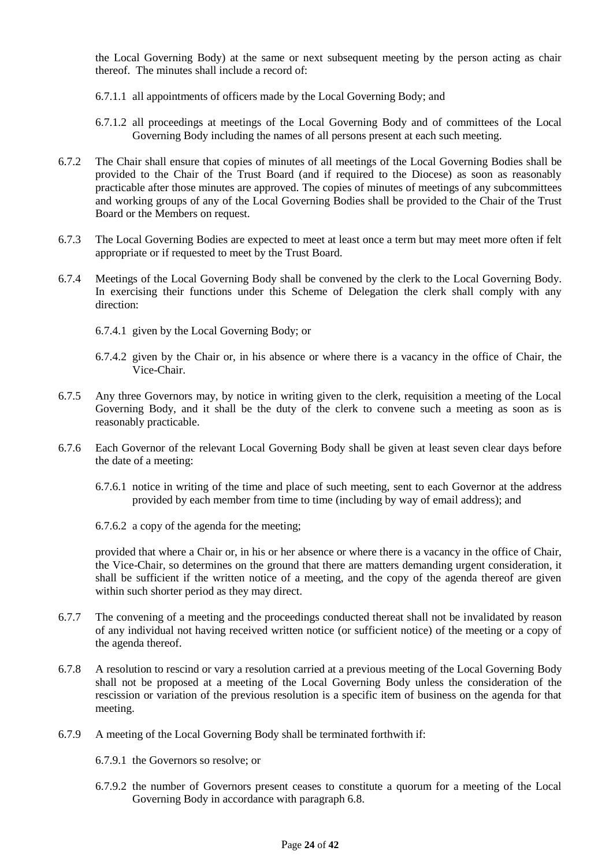the Local Governing Body) at the same or next subsequent meeting by the person acting as chair thereof. The minutes shall include a record of:

- 6.7.1.1 all appointments of officers made by the Local Governing Body; and
- 6.7.1.2 all proceedings at meetings of the Local Governing Body and of committees of the Local Governing Body including the names of all persons present at each such meeting.
- 6.7.2 The Chair shall ensure that copies of minutes of all meetings of the Local Governing Bodies shall be provided to the Chair of the Trust Board (and if required to the Diocese) as soon as reasonably practicable after those minutes are approved. The copies of minutes of meetings of any subcommittees and working groups of any of the Local Governing Bodies shall be provided to the Chair of the Trust Board or the Members on request.
- 6.7.3 The Local Governing Bodies are expected to meet at least once a term but may meet more often if felt appropriate or if requested to meet by the Trust Board.
- 6.7.4 Meetings of the Local Governing Body shall be convened by the clerk to the Local Governing Body. In exercising their functions under this Scheme of Delegation the clerk shall comply with any direction:
	- 6.7.4.1 given by the Local Governing Body; or
	- 6.7.4.2 given by the Chair or, in his absence or where there is a vacancy in the office of Chair, the Vice-Chair.
- 6.7.5 Any three Governors may, by notice in writing given to the clerk, requisition a meeting of the Local Governing Body, and it shall be the duty of the clerk to convene such a meeting as soon as is reasonably practicable.
- 6.7.6 Each Governor of the relevant Local Governing Body shall be given at least seven clear days before the date of a meeting:
	- 6.7.6.1 notice in writing of the time and place of such meeting, sent to each Governor at the address provided by each member from time to time (including by way of email address); and
	- 6.7.6.2 a copy of the agenda for the meeting;

provided that where a Chair or, in his or her absence or where there is a vacancy in the office of Chair, the Vice-Chair, so determines on the ground that there are matters demanding urgent consideration, it shall be sufficient if the written notice of a meeting, and the copy of the agenda thereof are given within such shorter period as they may direct.

- 6.7.7 The convening of a meeting and the proceedings conducted thereat shall not be invalidated by reason of any individual not having received written notice (or sufficient notice) of the meeting or a copy of the agenda thereof.
- 6.7.8 A resolution to rescind or vary a resolution carried at a previous meeting of the Local Governing Body shall not be proposed at a meeting of the Local Governing Body unless the consideration of the rescission or variation of the previous resolution is a specific item of business on the agenda for that meeting.
- 6.7.9 A meeting of the Local Governing Body shall be terminated forthwith if:
	- 6.7.9.1 the Governors so resolve; or
	- 6.7.9.2 the number of Governors present ceases to constitute a quorum for a meeting of the Local Governing Body in accordance with paragraph 6.8.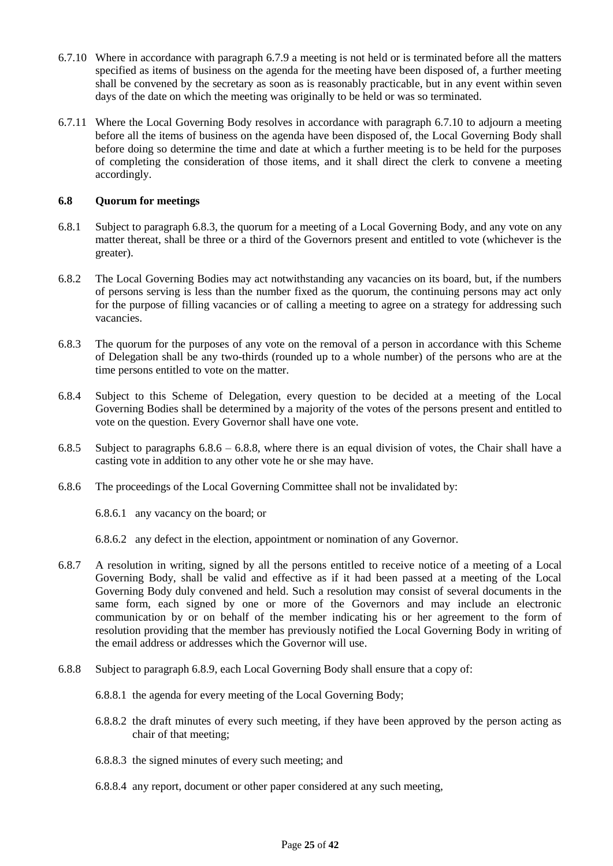- 6.7.10 Where in accordance with paragraph 6.7.9 a meeting is not held or is terminated before all the matters specified as items of business on the agenda for the meeting have been disposed of, a further meeting shall be convened by the secretary as soon as is reasonably practicable, but in any event within seven days of the date on which the meeting was originally to be held or was so terminated.
- 6.7.11 Where the Local Governing Body resolves in accordance with paragraph 6.7.10 to adjourn a meeting before all the items of business on the agenda have been disposed of, the Local Governing Body shall before doing so determine the time and date at which a further meeting is to be held for the purposes of completing the consideration of those items, and it shall direct the clerk to convene a meeting accordingly.

## **6.8 Quorum for meetings**

- 6.8.1 Subject to paragraph 6.8.3, the quorum for a meeting of a Local Governing Body, and any vote on any matter thereat, shall be three or a third of the Governors present and entitled to vote (whichever is the greater).
- 6.8.2 The Local Governing Bodies may act notwithstanding any vacancies on its board, but, if the numbers of persons serving is less than the number fixed as the quorum, the continuing persons may act only for the purpose of filling vacancies or of calling a meeting to agree on a strategy for addressing such vacancies.
- 6.8.3 The quorum for the purposes of any vote on the removal of a person in accordance with this Scheme of Delegation shall be any two-thirds (rounded up to a whole number) of the persons who are at the time persons entitled to vote on the matter.
- 6.8.4 Subject to this Scheme of Delegation, every question to be decided at a meeting of the Local Governing Bodies shall be determined by a majority of the votes of the persons present and entitled to vote on the question. Every Governor shall have one vote.
- 6.8.5 Subject to paragraphs  $6.8.6 6.8.8$ , where there is an equal division of votes, the Chair shall have a casting vote in addition to any other vote he or she may have.
- 6.8.6 The proceedings of the Local Governing Committee shall not be invalidated by:

6.8.6.1 any vacancy on the board; or

6.8.6.2 any defect in the election, appointment or nomination of any Governor.

- 6.8.7 A resolution in writing, signed by all the persons entitled to receive notice of a meeting of a Local Governing Body, shall be valid and effective as if it had been passed at a meeting of the Local Governing Body duly convened and held. Such a resolution may consist of several documents in the same form, each signed by one or more of the Governors and may include an electronic communication by or on behalf of the member indicating his or her agreement to the form of resolution providing that the member has previously notified the Local Governing Body in writing of the email address or addresses which the Governor will use.
- 6.8.8 Subject to paragraph 6.8.9, each Local Governing Body shall ensure that a copy of:
	- 6.8.8.1 the agenda for every meeting of the Local Governing Body;
	- 6.8.8.2 the draft minutes of every such meeting, if they have been approved by the person acting as chair of that meeting;
	- 6.8.8.3 the signed minutes of every such meeting; and
	- 6.8.8.4 any report, document or other paper considered at any such meeting,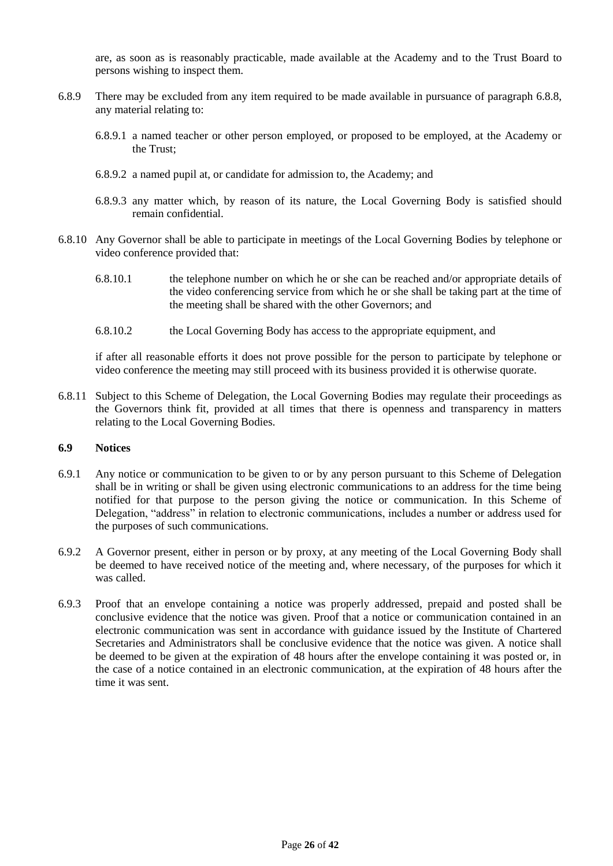are, as soon as is reasonably practicable, made available at the Academy and to the Trust Board to persons wishing to inspect them.

- 6.8.9 There may be excluded from any item required to be made available in pursuance of paragraph 6.8.8, any material relating to:
	- 6.8.9.1 a named teacher or other person employed, or proposed to be employed, at the Academy or the Trust;
	- 6.8.9.2 a named pupil at, or candidate for admission to, the Academy; and
	- 6.8.9.3 any matter which, by reason of its nature, the Local Governing Body is satisfied should remain confidential.
- 6.8.10 Any Governor shall be able to participate in meetings of the Local Governing Bodies by telephone or video conference provided that:
	- 6.8.10.1 the telephone number on which he or she can be reached and/or appropriate details of the video conferencing service from which he or she shall be taking part at the time of the meeting shall be shared with the other Governors; and
	- 6.8.10.2 the Local Governing Body has access to the appropriate equipment, and

if after all reasonable efforts it does not prove possible for the person to participate by telephone or video conference the meeting may still proceed with its business provided it is otherwise quorate.

6.8.11 Subject to this Scheme of Delegation, the Local Governing Bodies may regulate their proceedings as the Governors think fit, provided at all times that there is openness and transparency in matters relating to the Local Governing Bodies.

#### **6.9 Notices**

- 6.9.1 Any notice or communication to be given to or by any person pursuant to this Scheme of Delegation shall be in writing or shall be given using electronic communications to an address for the time being notified for that purpose to the person giving the notice or communication. In this Scheme of Delegation, "address" in relation to electronic communications, includes a number or address used for the purposes of such communications.
- 6.9.2 A Governor present, either in person or by proxy, at any meeting of the Local Governing Body shall be deemed to have received notice of the meeting and, where necessary, of the purposes for which it was called.
- 6.9.3 Proof that an envelope containing a notice was properly addressed, prepaid and posted shall be conclusive evidence that the notice was given. Proof that a notice or communication contained in an electronic communication was sent in accordance with guidance issued by the Institute of Chartered Secretaries and Administrators shall be conclusive evidence that the notice was given. A notice shall be deemed to be given at the expiration of 48 hours after the envelope containing it was posted or, in the case of a notice contained in an electronic communication, at the expiration of 48 hours after the time it was sent.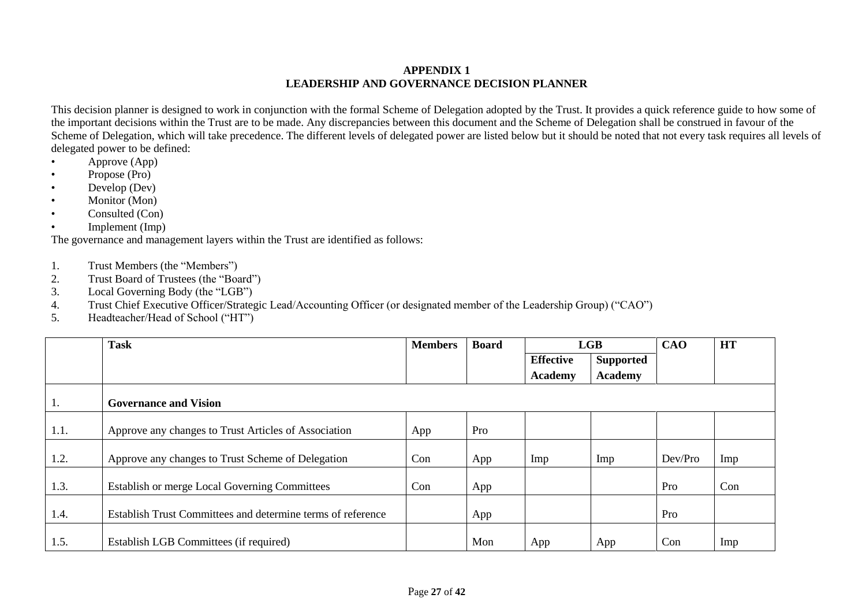## **APPENDIX 1 LEADERSHIP AND GOVERNANCE DECISION PLANNER**

This decision planner is designed to work in conjunction with the formal Scheme of Delegation adopted by the Trust. It provides a quick reference guide to how some of the important decisions within the Trust are to be made. Any discrepancies between this document and the Scheme of Delegation shall be construed in favour of the Scheme of Delegation, which will take precedence. The different levels of delegated power are listed below but it should be noted that not every task requires all levels of delegated power to be defined:

- $\bullet$  Approve (App)
- Propose (Pro)
- Develop (Dev)
- Monitor (Mon)
- Consulted (Con)
- Implement (Imp)

The governance and management layers within the Trust are identified as follows:

- 1. Trust Members (the "Members")
- 2. Trust Board of Trustees (the "Board")
- 3. Local Governing Body (the "LGB")
- 4. Trust Chief Executive Officer/Strategic Lead/Accounting Officer (or designated member of the Leadership Group) ("CAO")
- 5. Headteacher/Head of School ("HT")

|      | <b>Task</b>                                                 | <b>Members</b> | <b>Board</b> | LGB              |                | <b>CAO</b> | <b>HT</b> |
|------|-------------------------------------------------------------|----------------|--------------|------------------|----------------|------------|-----------|
|      |                                                             |                |              | <b>Effective</b> | Supported      |            |           |
|      |                                                             |                |              | <b>Academy</b>   | <b>Academy</b> |            |           |
| 1.   | <b>Governance and Vision</b>                                |                |              |                  |                |            |           |
| 1.1. | Approve any changes to Trust Articles of Association        | App            | Pro          |                  |                |            |           |
| 1.2. | Approve any changes to Trust Scheme of Delegation           | Con            | App          | Imp              | Imp            | Dev/Pro    | Imp       |
| 1.3. | Establish or merge Local Governing Committees               | Con            | App          |                  |                | Pro        | Con       |
| 1.4. | Establish Trust Committees and determine terms of reference |                | App          |                  |                | Pro        |           |
| 1.5. | Establish LGB Committees (if required)                      |                | Mon          | App              | App            | Con        | Imp       |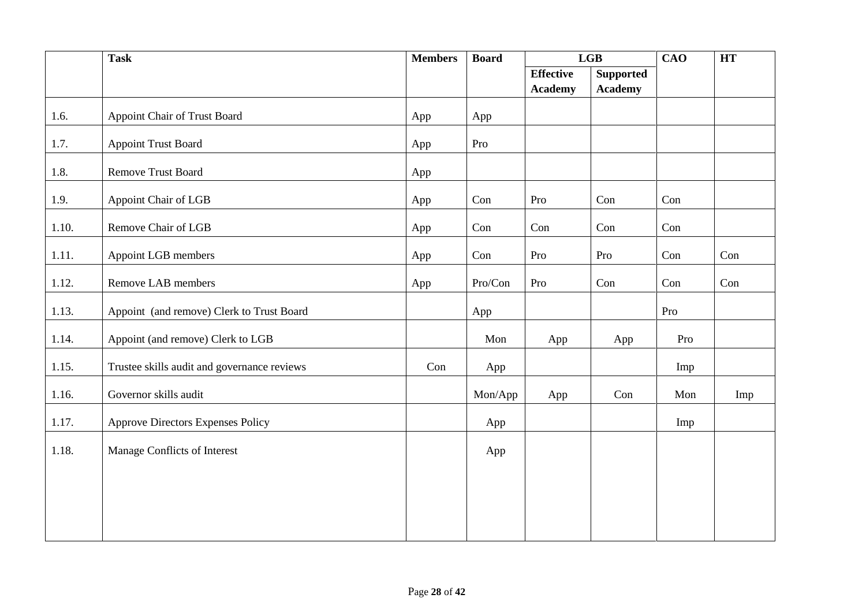|       | <b>Task</b>                                 | <b>Members</b> | <b>Board</b> | LGB              |                  | CAO | <b>HT</b> |
|-------|---------------------------------------------|----------------|--------------|------------------|------------------|-----|-----------|
|       |                                             |                |              | <b>Effective</b> | <b>Supported</b> |     |           |
|       |                                             |                |              | <b>Academy</b>   | <b>Academy</b>   |     |           |
| 1.6.  | Appoint Chair of Trust Board                | App            | App          |                  |                  |     |           |
| 1.7.  | <b>Appoint Trust Board</b>                  | App            | Pro          |                  |                  |     |           |
| 1.8.  | <b>Remove Trust Board</b>                   | App            |              |                  |                  |     |           |
| 1.9.  | Appoint Chair of LGB                        | App            | Con          | Pro              | Con              | Con |           |
| 1.10. | Remove Chair of LGB                         | App            | Con          | Con              | Con              | Con |           |
| 1.11. | Appoint LGB members                         | App            | Con          | Pro              | Pro              | Con | Con       |
| 1.12. | Remove LAB members                          | App            | Pro/Con      | Pro              | Con              | Con | Con       |
| 1.13. | Appoint (and remove) Clerk to Trust Board   |                | App          |                  |                  | Pro |           |
| 1.14. | Appoint (and remove) Clerk to LGB           |                | Mon          | App              | App              | Pro |           |
| 1.15. | Trustee skills audit and governance reviews | Con            | App          |                  |                  | Imp |           |
| 1.16. | Governor skills audit                       |                | Mon/App      | App              | Con              | Mon | Imp       |
| 1.17. | <b>Approve Directors Expenses Policy</b>    |                | App          |                  |                  | Imp |           |
| 1.18. | Manage Conflicts of Interest                |                | App          |                  |                  |     |           |
|       |                                             |                |              |                  |                  |     |           |
|       |                                             |                |              |                  |                  |     |           |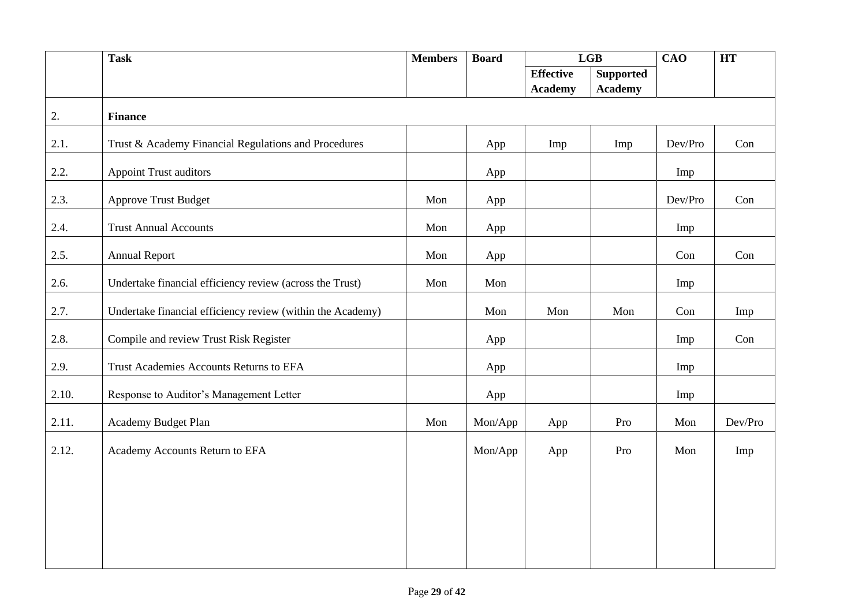|       | <b>Task</b>                                                | <b>Members</b> | <b>Board</b> | LGB              |                  | $\overline{\text{CAO}}$ | <b>HT</b> |
|-------|------------------------------------------------------------|----------------|--------------|------------------|------------------|-------------------------|-----------|
|       |                                                            |                |              | <b>Effective</b> | <b>Supported</b> |                         |           |
|       |                                                            |                |              | <b>Academy</b>   | <b>Academy</b>   |                         |           |
| 2.    | <b>Finance</b>                                             |                |              |                  |                  |                         |           |
| 2.1.  | Trust & Academy Financial Regulations and Procedures       |                | App          | Imp              | Imp              | Dev/Pro                 | Con       |
| 2.2.  | <b>Appoint Trust auditors</b>                              |                | App          |                  |                  | Imp                     |           |
| 2.3.  | <b>Approve Trust Budget</b>                                | Mon            | App          |                  |                  | Dev/Pro                 | Con       |
| 2.4.  | <b>Trust Annual Accounts</b>                               | Mon            | App          |                  |                  | Imp                     |           |
| 2.5.  | <b>Annual Report</b>                                       | Mon            | App          |                  |                  | Con                     | Con       |
| 2.6.  | Undertake financial efficiency review (across the Trust)   | Mon            | Mon          |                  |                  | Imp                     |           |
| 2.7.  | Undertake financial efficiency review (within the Academy) |                | Mon          | Mon              | Mon              | Con                     | Imp       |
| 2.8.  | Compile and review Trust Risk Register                     |                | App          |                  |                  | Imp                     | Con       |
| 2.9.  | Trust Academies Accounts Returns to EFA                    |                | App          |                  |                  | Imp                     |           |
| 2.10. | Response to Auditor's Management Letter                    |                | App          |                  |                  | Imp                     |           |
| 2.11. | Academy Budget Plan                                        | Mon            | Mon/App      | App              | Pro              | Mon                     | Dev/Pro   |
| 2.12. | Academy Accounts Return to EFA                             |                | Mon/App      | App              | Pro              | Mon                     | Imp       |
|       |                                                            |                |              |                  |                  |                         |           |
|       |                                                            |                |              |                  |                  |                         |           |
|       |                                                            |                |              |                  |                  |                         |           |
|       |                                                            |                |              |                  |                  |                         |           |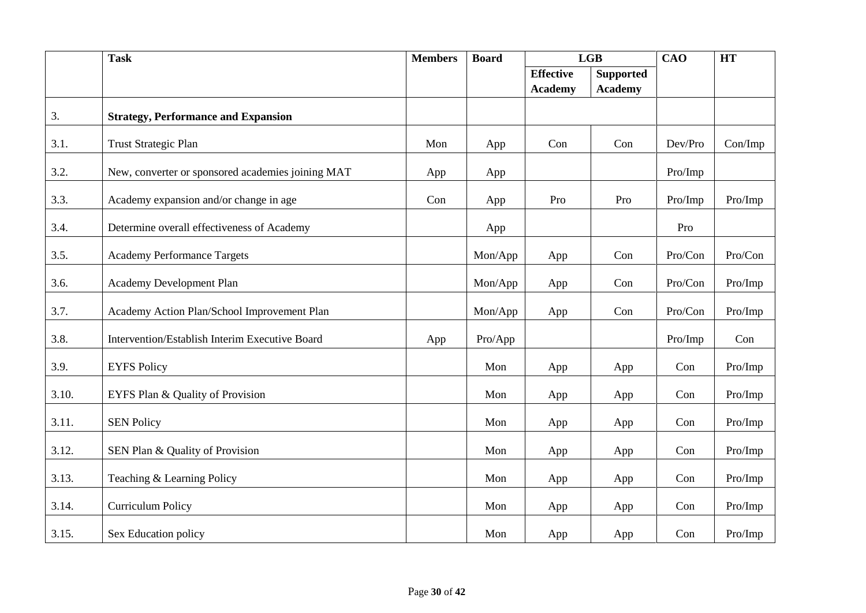|       | <b>Task</b>                                       | <b>Members</b> | <b>Board</b> | LGB              |                  | <b>CAO</b> | <b>HT</b> |
|-------|---------------------------------------------------|----------------|--------------|------------------|------------------|------------|-----------|
|       |                                                   |                |              | <b>Effective</b> | <b>Supported</b> |            |           |
|       |                                                   |                |              | <b>Academy</b>   | <b>Academy</b>   |            |           |
| 3.    | <b>Strategy, Performance and Expansion</b>        |                |              |                  |                  |            |           |
| 3.1.  | <b>Trust Strategic Plan</b>                       | Mon            | App          | Con              | Con              | Dev/Pro    | Con/Imp   |
| 3.2.  | New, converter or sponsored academies joining MAT | App            | App          |                  |                  | Pro/Imp    |           |
| 3.3.  | Academy expansion and/or change in age            | Con            | App          | Pro              | Pro              | Pro/Imp    | Pro/Imp   |
| 3.4.  | Determine overall effectiveness of Academy        |                | App          |                  |                  | Pro        |           |
| 3.5.  | <b>Academy Performance Targets</b>                |                | Mon/App      | App              | Con              | Pro/Con    | Pro/Con   |
| 3.6.  | Academy Development Plan                          |                | Mon/App      | App              | Con              | Pro/Con    | Pro/Imp   |
| 3.7.  | Academy Action Plan/School Improvement Plan       |                | Mon/App      | App              | Con              | Pro/Con    | Pro/Imp   |
| 3.8.  | Intervention/Establish Interim Executive Board    | App            | Pro/App      |                  |                  | Pro/Imp    | Con       |
| 3.9.  | <b>EYFS Policy</b>                                |                | Mon          | App              | App              | Con        | Pro/Imp   |
| 3.10. | EYFS Plan & Quality of Provision                  |                | Mon          | App              | App              | Con        | Pro/Imp   |
| 3.11. | <b>SEN Policy</b>                                 |                | Mon          | App              | App              | Con        | Pro/Imp   |
| 3.12. | SEN Plan & Quality of Provision                   |                | Mon          | App              | App              | Con        | Pro/Imp   |
| 3.13. | Teaching & Learning Policy                        |                | Mon          | App              | App              | Con        | Pro/Imp   |
| 3.14. | <b>Curriculum Policy</b>                          |                | Mon          | App              | App              | Con        | Pro/Imp   |
| 3.15. | Sex Education policy                              |                | Mon          | App              | App              | Con        | Pro/Imp   |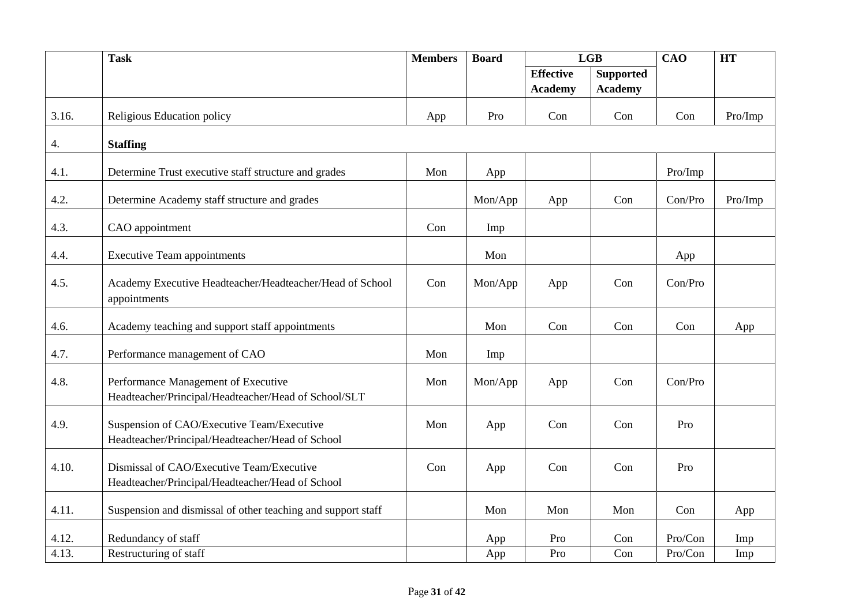|       | <b>Task</b>                                                                                    | <b>Members</b> | <b>Board</b> |                                    | LGB                                |         | <b>HT</b> |
|-------|------------------------------------------------------------------------------------------------|----------------|--------------|------------------------------------|------------------------------------|---------|-----------|
|       |                                                                                                |                |              | <b>Effective</b><br><b>Academy</b> | <b>Supported</b><br><b>Academy</b> |         |           |
| 3.16. | Religious Education policy                                                                     | App            | Pro          | Con                                | Con                                | Con     | Pro/Imp   |
| 4.    | <b>Staffing</b>                                                                                |                |              |                                    |                                    |         |           |
| 4.1.  | Determine Trust executive staff structure and grades                                           | Mon            | App          |                                    |                                    | Pro/Imp |           |
| 4.2.  | Determine Academy staff structure and grades                                                   |                | Mon/App      | App                                | Con                                | Con/Pro | Pro/Imp   |
| 4.3.  | CAO appointment                                                                                | Con            | Imp          |                                    |                                    |         |           |
| 4.4.  | <b>Executive Team appointments</b>                                                             |                | Mon          |                                    |                                    | App     |           |
| 4.5.  | Academy Executive Headteacher/Headteacher/Head of School<br>appointments                       | Con            | Mon/App      | App                                | Con                                | Con/Pro |           |
| 4.6.  | Academy teaching and support staff appointments                                                |                | Mon          | Con                                | Con                                | Con     | App       |
| 4.7.  | Performance management of CAO                                                                  | Mon            | Imp          |                                    |                                    |         |           |
| 4.8.  | Performance Management of Executive<br>Headteacher/Principal/Headteacher/Head of School/SLT    | Mon            | Mon/App      | App                                | Con                                | Con/Pro |           |
| 4.9.  | Suspension of CAO/Executive Team/Executive<br>Headteacher/Principal/Headteacher/Head of School | Mon            | App          | Con                                | Con                                | Pro     |           |
| 4.10. | Dismissal of CAO/Executive Team/Executive<br>Headteacher/Principal/Headteacher/Head of School  | Con            | App          | Con                                | Con                                | Pro     |           |
| 4.11. | Suspension and dismissal of other teaching and support staff                                   |                | Mon          | Mon                                | Mon                                | Con     | App       |
| 4.12. | Redundancy of staff                                                                            |                | App          | Pro                                | Con                                | Pro/Con | Imp       |
| 4.13. | Restructuring of staff                                                                         |                | App          | Pro                                | Con                                | Pro/Con | Imp       |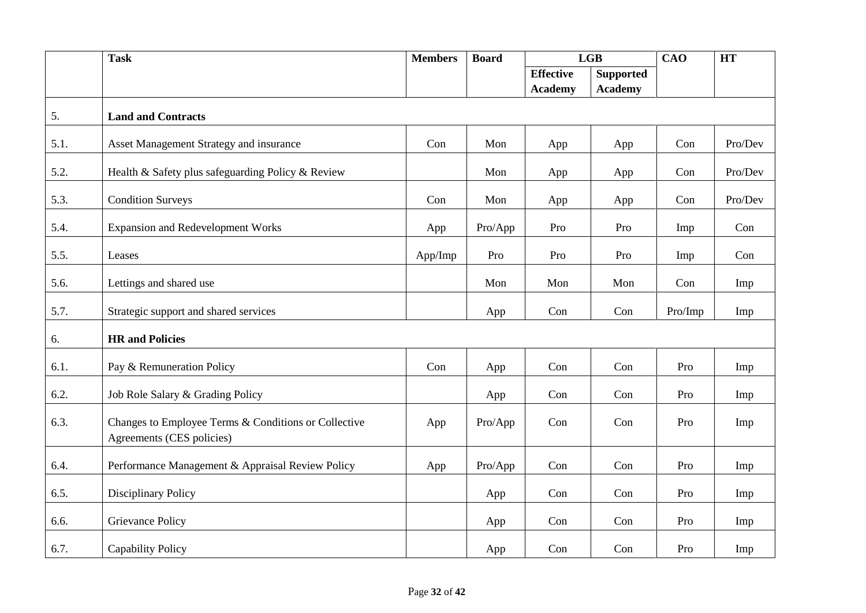|      | <b>Task</b>                                                                       | <b>Members</b> | <b>Board</b> | LGB              |                  |         |         | <b>CAO</b><br><b>HT</b> |  |
|------|-----------------------------------------------------------------------------------|----------------|--------------|------------------|------------------|---------|---------|-------------------------|--|
|      |                                                                                   |                |              | <b>Effective</b> | <b>Supported</b> |         |         |                         |  |
|      |                                                                                   |                |              | <b>Academy</b>   | <b>Academy</b>   |         |         |                         |  |
| 5.   | <b>Land and Contracts</b>                                                         |                |              |                  |                  |         |         |                         |  |
| 5.1. | Asset Management Strategy and insurance                                           | Con            | Mon          | App              | App              | Con     | Pro/Dev |                         |  |
| 5.2. | Health & Safety plus safeguarding Policy & Review                                 |                | Mon          | App              | App              | Con     | Pro/Dev |                         |  |
| 5.3. | <b>Condition Surveys</b>                                                          | Con            | Mon          | App              | App              | Con     | Pro/Dev |                         |  |
| 5.4. | <b>Expansion and Redevelopment Works</b>                                          | App            | Pro/App      | Pro              | Pro              | Imp     | Con     |                         |  |
| 5.5. | Leases                                                                            | App/Imp        | Pro          | Pro              | Pro              | Imp     | Con     |                         |  |
| 5.6. | Lettings and shared use                                                           |                | Mon          | Mon              | Mon              | Con     | Imp     |                         |  |
| 5.7. | Strategic support and shared services                                             |                | App          | Con              | Con              | Pro/Imp | Imp     |                         |  |
| 6.   | <b>HR</b> and Policies                                                            |                |              |                  |                  |         |         |                         |  |
| 6.1. | Pay & Remuneration Policy                                                         | Con            | App          | Con              | Con              | Pro     | Imp     |                         |  |
| 6.2. | Job Role Salary & Grading Policy                                                  |                | App          | Con              | Con              | Pro     | Imp     |                         |  |
| 6.3. | Changes to Employee Terms & Conditions or Collective<br>Agreements (CES policies) | App            | Pro/App      | Con              | Con              | Pro     | Imp     |                         |  |
| 6.4. | Performance Management & Appraisal Review Policy                                  | App            | Pro/App      | Con              | Con              | Pro     | Imp     |                         |  |
| 6.5. | Disciplinary Policy                                                               |                | App          | Con              | Con              | Pro     | Imp     |                         |  |
| 6.6. | Grievance Policy                                                                  |                | App          | Con              | Con              | Pro     | Imp     |                         |  |
| 6.7. | <b>Capability Policy</b>                                                          |                | App          | Con              | Con              | Pro     | Imp     |                         |  |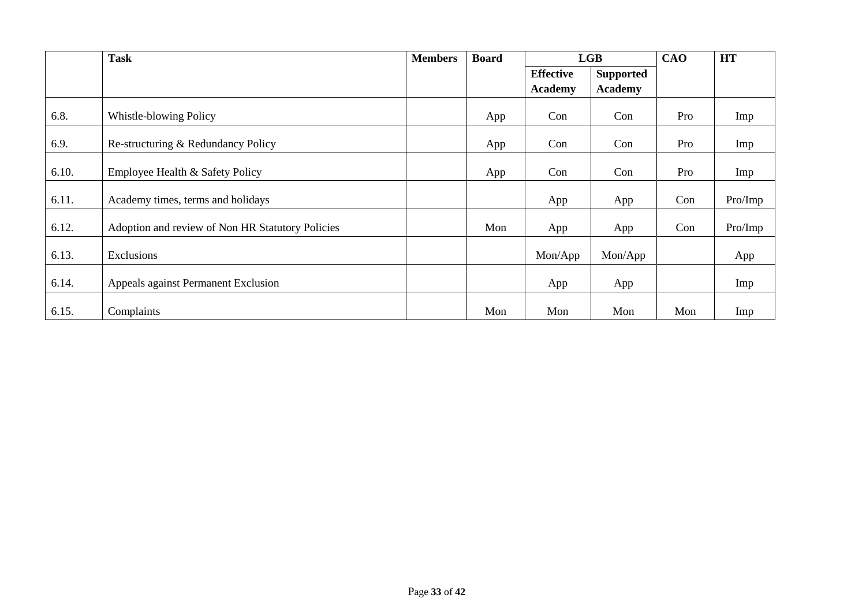|       | <b>Task</b>                                      | <b>Members</b> | <b>Board</b> | LGB              |                  | CAO | <b>HT</b> |
|-------|--------------------------------------------------|----------------|--------------|------------------|------------------|-----|-----------|
|       |                                                  |                |              | <b>Effective</b> | <b>Supported</b> |     |           |
|       |                                                  |                |              | <b>Academy</b>   | <b>Academy</b>   |     |           |
| 6.8.  | Whistle-blowing Policy                           |                | App          | Con              | Con              | Pro | Imp       |
| 6.9.  | Re-structuring & Redundancy Policy               |                | App          | Con              | Con              | Pro | Imp       |
| 6.10. | Employee Health & Safety Policy                  |                | App          | Con              | Con              | Pro | Imp       |
| 6.11. | Academy times, terms and holidays                |                |              | App              | App              | Con | Pro/Imp   |
| 6.12. | Adoption and review of Non HR Statutory Policies |                | Mon          | App              | App              | Con | Pro/Imp   |
| 6.13. | Exclusions                                       |                |              | Mon/App          | Mon/App          |     | App       |
| 6.14. | Appeals against Permanent Exclusion              |                |              | App              | App              |     | Imp       |
| 6.15. | Complaints                                       |                | Mon          | Mon              | Mon              | Mon | Imp       |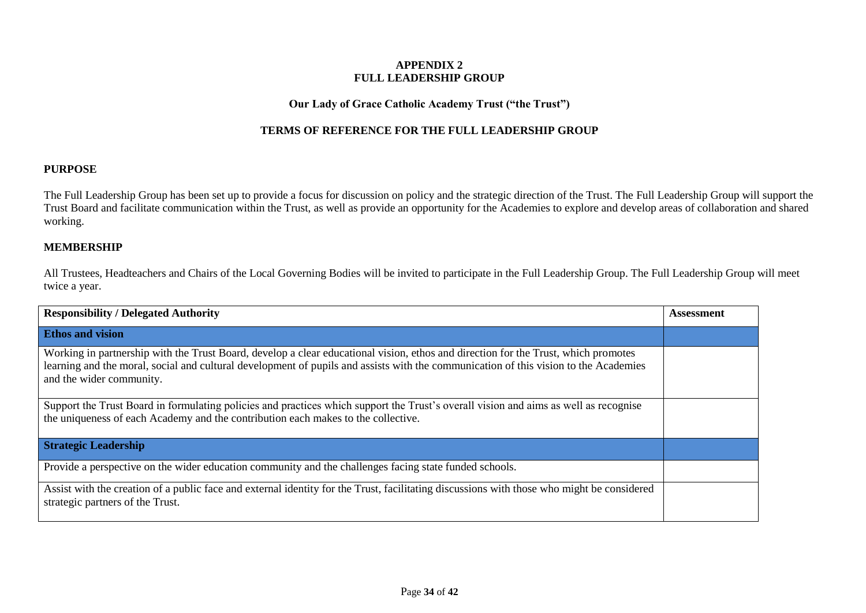## **APPENDIX 2 FULL LEADERSHIP GROUP**

## **Our Lady of Grace Catholic Academy Trust ("the Trust")**

# **TERMS OF REFERENCE FOR THE FULL LEADERSHIP GROUP**

## **PURPOSE**

The Full Leadership Group has been set up to provide a focus for discussion on policy and the strategic direction of the Trust. The Full Leadership Group will support the Trust Board and facilitate communication within the Trust, as well as provide an opportunity for the Academies to explore and develop areas of collaboration and shared working.

## **MEMBERSHIP**

All Trustees, Headteachers and Chairs of the Local Governing Bodies will be invited to participate in the Full Leadership Group. The Full Leadership Group will meet twice a year.

| <b>Responsibility / Delegated Authority</b>                                                                                                                                                                                                                                                            | Assessment |
|--------------------------------------------------------------------------------------------------------------------------------------------------------------------------------------------------------------------------------------------------------------------------------------------------------|------------|
| <b>Ethos and vision</b>                                                                                                                                                                                                                                                                                |            |
| Working in partnership with the Trust Board, develop a clear educational vision, ethos and direction for the Trust, which promotes<br>learning and the moral, social and cultural development of pupils and assists with the communication of this vision to the Academies<br>and the wider community. |            |
| Support the Trust Board in formulating policies and practices which support the Trust's overall vision and aims as well as recognise<br>the uniqueness of each Academy and the contribution each makes to the collective.                                                                              |            |
| <b>Strategic Leadership</b>                                                                                                                                                                                                                                                                            |            |
| Provide a perspective on the wider education community and the challenges facing state funded schools.                                                                                                                                                                                                 |            |
| Assist with the creation of a public face and external identity for the Trust, facilitating discussions with those who might be considered<br>strategic partners of the Trust.                                                                                                                         |            |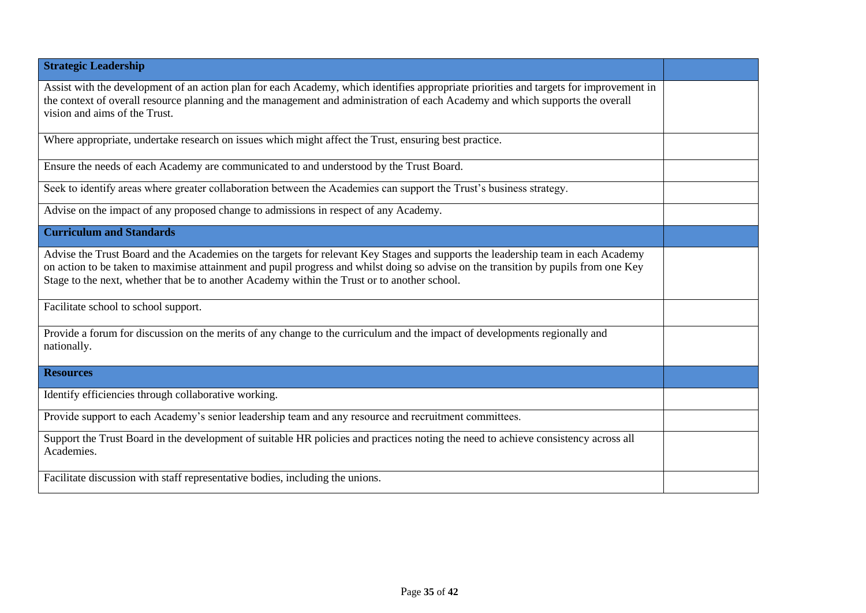| <b>Strategic Leadership</b>                                                                                                                                                                                                                                                                                                                                             |  |
|-------------------------------------------------------------------------------------------------------------------------------------------------------------------------------------------------------------------------------------------------------------------------------------------------------------------------------------------------------------------------|--|
| Assist with the development of an action plan for each Academy, which identifies appropriate priorities and targets for improvement in<br>the context of overall resource planning and the management and administration of each Academy and which supports the overall<br>vision and aims of the Trust.                                                                |  |
| Where appropriate, undertake research on issues which might affect the Trust, ensuring best practice.                                                                                                                                                                                                                                                                   |  |
| Ensure the needs of each Academy are communicated to and understood by the Trust Board.                                                                                                                                                                                                                                                                                 |  |
| Seek to identify areas where greater collaboration between the Academies can support the Trust's business strategy.                                                                                                                                                                                                                                                     |  |
| Advise on the impact of any proposed change to admissions in respect of any Academy.                                                                                                                                                                                                                                                                                    |  |
| <b>Curriculum and Standards</b>                                                                                                                                                                                                                                                                                                                                         |  |
| Advise the Trust Board and the Academies on the targets for relevant Key Stages and supports the leadership team in each Academy<br>on action to be taken to maximise attainment and pupil progress and whilst doing so advise on the transition by pupils from one Key<br>Stage to the next, whether that be to another Academy within the Trust or to another school. |  |
| Facilitate school to school support.                                                                                                                                                                                                                                                                                                                                    |  |
| Provide a forum for discussion on the merits of any change to the curriculum and the impact of developments regionally and<br>nationally.                                                                                                                                                                                                                               |  |
| <b>Resources</b>                                                                                                                                                                                                                                                                                                                                                        |  |
| Identify efficiencies through collaborative working.                                                                                                                                                                                                                                                                                                                    |  |
| Provide support to each Academy's senior leadership team and any resource and recruitment committees.                                                                                                                                                                                                                                                                   |  |
| Support the Trust Board in the development of suitable HR policies and practices noting the need to achieve consistency across all<br>Academies.                                                                                                                                                                                                                        |  |
| Facilitate discussion with staff representative bodies, including the unions.                                                                                                                                                                                                                                                                                           |  |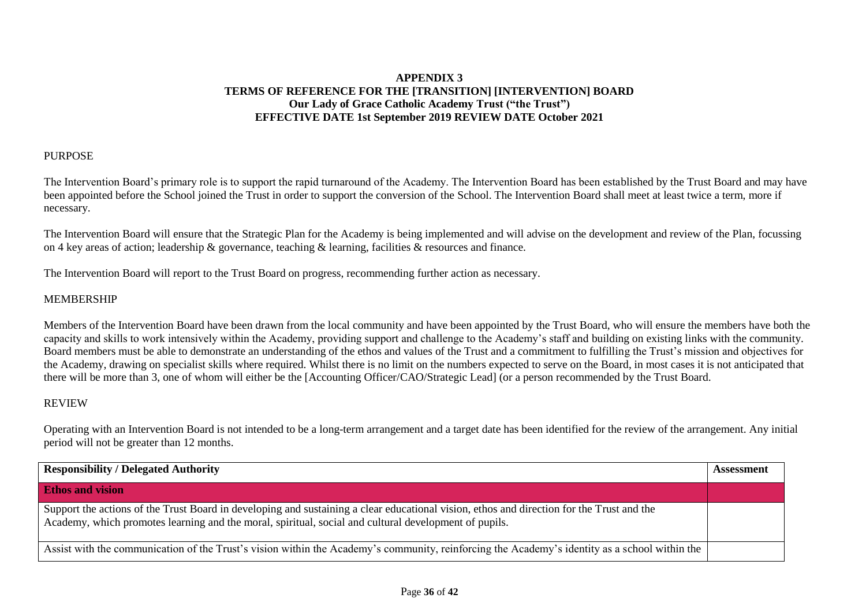# **APPENDIX 3 TERMS OF REFERENCE FOR THE [TRANSITION] [INTERVENTION] BOARD Our Lady of Grace Catholic Academy Trust ("the Trust") EFFECTIVE DATE 1st September 2019 REVIEW DATE October 2021**

## PURPOSE

The Intervention Board's primary role is to support the rapid turnaround of the Academy. The Intervention Board has been established by the Trust Board and may have been appointed before the School joined the Trust in order to support the conversion of the School. The Intervention Board shall meet at least twice a term, more if necessary.

The Intervention Board will ensure that the Strategic Plan for the Academy is being implemented and will advise on the development and review of the Plan, focussing on 4 key areas of action; leadership & governance, teaching & learning, facilities & resources and finance.

The Intervention Board will report to the Trust Board on progress, recommending further action as necessary.

## MEMBERSHIP

Members of the Intervention Board have been drawn from the local community and have been appointed by the Trust Board, who will ensure the members have both the capacity and skills to work intensively within the Academy, providing support and challenge to the Academy's staff and building on existing links with the community. Board members must be able to demonstrate an understanding of the ethos and values of the Trust and a commitment to fulfilling the Trust's mission and objectives for the Academy, drawing on specialist skills where required. Whilst there is no limit on the numbers expected to serve on the Board, in most cases it is not anticipated that there will be more than 3, one of whom will either be the [Accounting Officer/CAO/Strategic Lead] (or a person recommended by the Trust Board.

## REVIEW

Operating with an Intervention Board is not intended to be a long-term arrangement and a target date has been identified for the review of the arrangement. Any initial period will not be greater than 12 months.

| <b>Responsibility / Delegated Authority</b>                                                                                                                                                                                                        | Assessment |
|----------------------------------------------------------------------------------------------------------------------------------------------------------------------------------------------------------------------------------------------------|------------|
| <b>Ethos and vision</b>                                                                                                                                                                                                                            |            |
| Support the actions of the Trust Board in developing and sustaining a clear educational vision, ethos and direction for the Trust and the<br>Academy, which promotes learning and the moral, spiritual, social and cultural development of pupils. |            |
| Assist with the communication of the Trust's vision within the Academy's community, reinforcing the Academy's identity as a school within the                                                                                                      |            |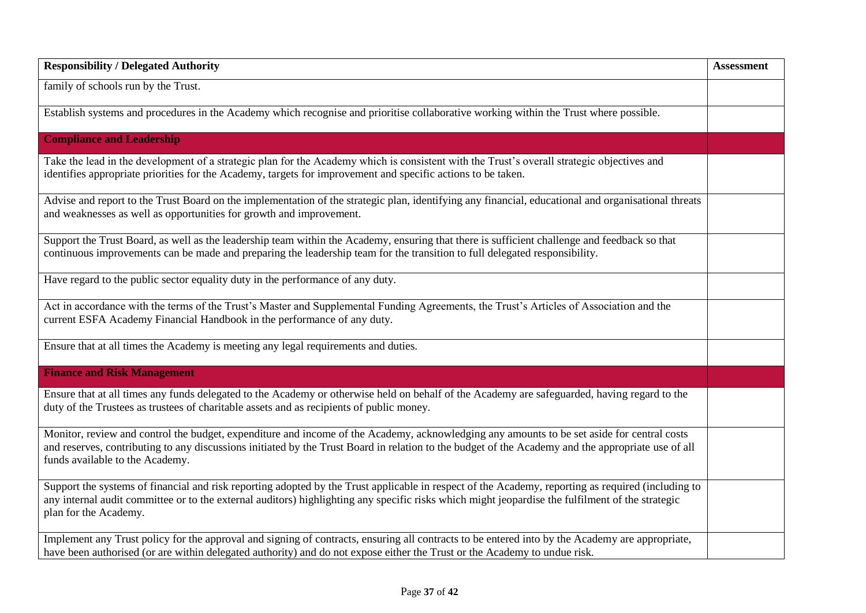| <b>Responsibility / Delegated Authority</b>                                                                                                                                                                                                                                                                                         | <b>Assessment</b> |
|-------------------------------------------------------------------------------------------------------------------------------------------------------------------------------------------------------------------------------------------------------------------------------------------------------------------------------------|-------------------|
| family of schools run by the Trust.                                                                                                                                                                                                                                                                                                 |                   |
| Establish systems and procedures in the Academy which recognise and prioritise collaborative working within the Trust where possible.                                                                                                                                                                                               |                   |
| <b>Compliance and Leadership</b>                                                                                                                                                                                                                                                                                                    |                   |
| Take the lead in the development of a strategic plan for the Academy which is consistent with the Trust's overall strategic objectives and<br>identifies appropriate priorities for the Academy, targets for improvement and specific actions to be taken.                                                                          |                   |
| Advise and report to the Trust Board on the implementation of the strategic plan, identifying any financial, educational and organisational threats<br>and weaknesses as well as opportunities for growth and improvement.                                                                                                          |                   |
| Support the Trust Board, as well as the leadership team within the Academy, ensuring that there is sufficient challenge and feedback so that<br>continuous improvements can be made and preparing the leadership team for the transition to full delegated responsibility.                                                          |                   |
| Have regard to the public sector equality duty in the performance of any duty.                                                                                                                                                                                                                                                      |                   |
| Act in accordance with the terms of the Trust's Master and Supplemental Funding Agreements, the Trust's Articles of Association and the<br>current ESFA Academy Financial Handbook in the performance of any duty.                                                                                                                  |                   |
| Ensure that at all times the Academy is meeting any legal requirements and duties.                                                                                                                                                                                                                                                  |                   |
| <b>Finance and Risk Management</b>                                                                                                                                                                                                                                                                                                  |                   |
| Ensure that at all times any funds delegated to the Academy or otherwise held on behalf of the Academy are safeguarded, having regard to the<br>duty of the Trustees as trustees of charitable assets and as recipients of public money.                                                                                            |                   |
| Monitor, review and control the budget, expenditure and income of the Academy, acknowledging any amounts to be set aside for central costs<br>and reserves, contributing to any discussions initiated by the Trust Board in relation to the budget of the Academy and the appropriate use of all<br>funds available to the Academy. |                   |
| Support the systems of financial and risk reporting adopted by the Trust applicable in respect of the Academy, reporting as required (including to<br>any internal audit committee or to the external auditors) highlighting any specific risks which might jeopardise the fulfilment of the strategic<br>plan for the Academy.     |                   |
| Implement any Trust policy for the approval and signing of contracts, ensuring all contracts to be entered into by the Academy are appropriate,<br>have been authorised (or are within delegated authority) and do not expose either the Trust or the Academy to undue risk.                                                        |                   |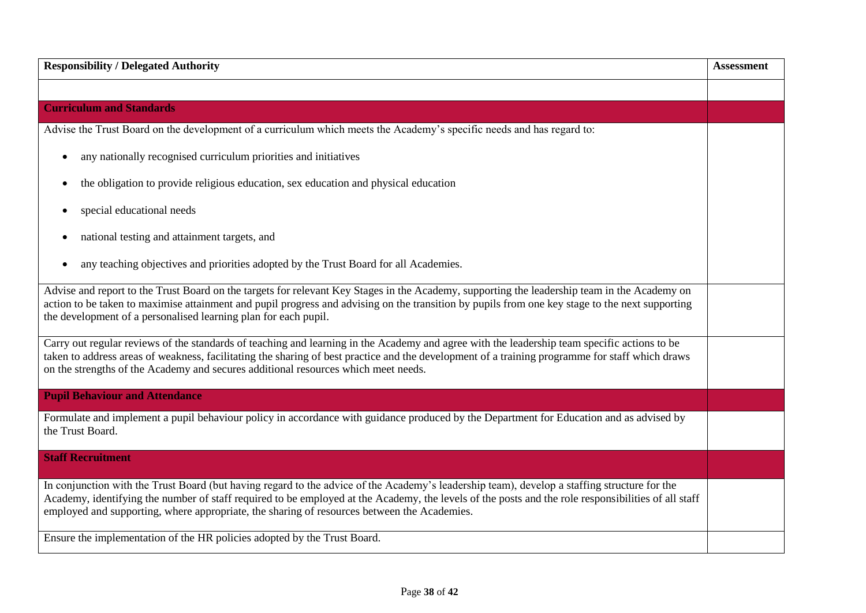| <b>Responsibility / Delegated Authority</b>                                                                                                                                                                                                                                                                                                                                                        | <b>Assessment</b> |
|----------------------------------------------------------------------------------------------------------------------------------------------------------------------------------------------------------------------------------------------------------------------------------------------------------------------------------------------------------------------------------------------------|-------------------|
|                                                                                                                                                                                                                                                                                                                                                                                                    |                   |
| <b>Curriculum and Standards</b>                                                                                                                                                                                                                                                                                                                                                                    |                   |
| Advise the Trust Board on the development of a curriculum which meets the Academy's specific needs and has regard to:                                                                                                                                                                                                                                                                              |                   |
| any nationally recognised curriculum priorities and initiatives                                                                                                                                                                                                                                                                                                                                    |                   |
| the obligation to provide religious education, sex education and physical education                                                                                                                                                                                                                                                                                                                |                   |
| special educational needs                                                                                                                                                                                                                                                                                                                                                                          |                   |
| national testing and attainment targets, and                                                                                                                                                                                                                                                                                                                                                       |                   |
| any teaching objectives and priorities adopted by the Trust Board for all Academies.                                                                                                                                                                                                                                                                                                               |                   |
| Advise and report to the Trust Board on the targets for relevant Key Stages in the Academy, supporting the leadership team in the Academy on<br>action to be taken to maximise attainment and pupil progress and advising on the transition by pupils from one key stage to the next supporting<br>the development of a personalised learning plan for each pupil.                                 |                   |
| Carry out regular reviews of the standards of teaching and learning in the Academy and agree with the leadership team specific actions to be<br>taken to address areas of weakness, facilitating the sharing of best practice and the development of a training programme for staff which draws<br>on the strengths of the Academy and secures additional resources which meet needs.              |                   |
| <b>Pupil Behaviour and Attendance</b>                                                                                                                                                                                                                                                                                                                                                              |                   |
| Formulate and implement a pupil behaviour policy in accordance with guidance produced by the Department for Education and as advised by<br>the Trust Board.                                                                                                                                                                                                                                        |                   |
| <b>Staff Recruitment</b>                                                                                                                                                                                                                                                                                                                                                                           |                   |
| In conjunction with the Trust Board (but having regard to the advice of the Academy's leadership team), develop a staffing structure for the<br>Academy, identifying the number of staff required to be employed at the Academy, the levels of the posts and the role responsibilities of all staff<br>employed and supporting, where appropriate, the sharing of resources between the Academies. |                   |
| Ensure the implementation of the HR policies adopted by the Trust Board.                                                                                                                                                                                                                                                                                                                           |                   |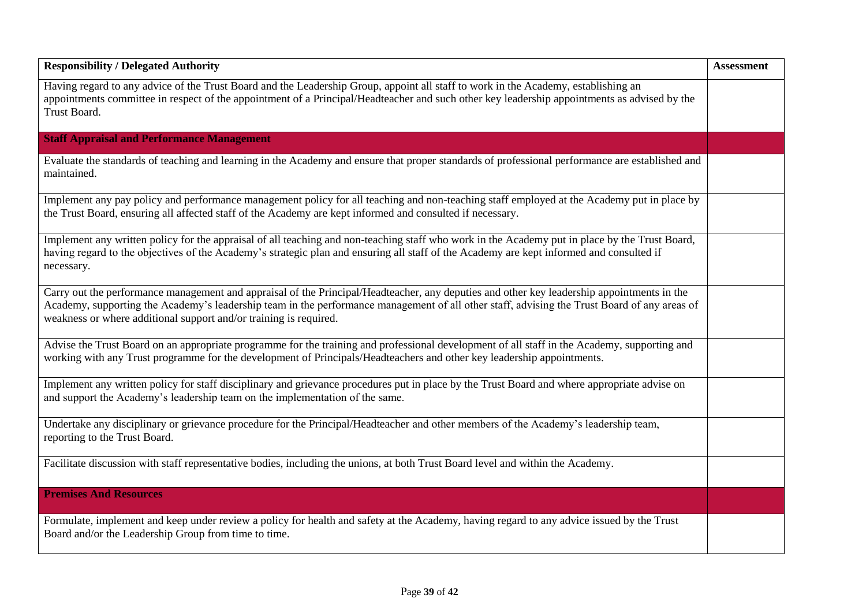| <b>Responsibility / Delegated Authority</b>                                                                                                                                                                                                                                                                                                                     | <b>Assessment</b> |
|-----------------------------------------------------------------------------------------------------------------------------------------------------------------------------------------------------------------------------------------------------------------------------------------------------------------------------------------------------------------|-------------------|
| Having regard to any advice of the Trust Board and the Leadership Group, appoint all staff to work in the Academy, establishing an<br>appointments committee in respect of the appointment of a Principal/Headteacher and such other key leadership appointments as advised by the<br>Trust Board.                                                              |                   |
| <b>Staff Appraisal and Performance Management</b>                                                                                                                                                                                                                                                                                                               |                   |
| Evaluate the standards of teaching and learning in the Academy and ensure that proper standards of professional performance are established and<br>maintained.                                                                                                                                                                                                  |                   |
| Implement any pay policy and performance management policy for all teaching and non-teaching staff employed at the Academy put in place by<br>the Trust Board, ensuring all affected staff of the Academy are kept informed and consulted if necessary.                                                                                                         |                   |
| Implement any written policy for the appraisal of all teaching and non-teaching staff who work in the Academy put in place by the Trust Board,<br>having regard to the objectives of the Academy's strategic plan and ensuring all staff of the Academy are kept informed and consulted if<br>necessary.                                                        |                   |
| Carry out the performance management and appraisal of the Principal/Headteacher, any deputies and other key leadership appointments in the<br>Academy, supporting the Academy's leadership team in the performance management of all other staff, advising the Trust Board of any areas of<br>weakness or where additional support and/or training is required. |                   |
| Advise the Trust Board on an appropriate programme for the training and professional development of all staff in the Academy, supporting and<br>working with any Trust programme for the development of Principals/Headteachers and other key leadership appointments.                                                                                          |                   |
| Implement any written policy for staff disciplinary and grievance procedures put in place by the Trust Board and where appropriate advise on<br>and support the Academy's leadership team on the implementation of the same.                                                                                                                                    |                   |
| Undertake any disciplinary or grievance procedure for the Principal/Headteacher and other members of the Academy's leadership team,<br>reporting to the Trust Board.                                                                                                                                                                                            |                   |
| Facilitate discussion with staff representative bodies, including the unions, at both Trust Board level and within the Academy.                                                                                                                                                                                                                                 |                   |
| <b>Premises And Resources</b>                                                                                                                                                                                                                                                                                                                                   |                   |
| Formulate, implement and keep under review a policy for health and safety at the Academy, having regard to any advice issued by the Trust<br>Board and/or the Leadership Group from time to time.                                                                                                                                                               |                   |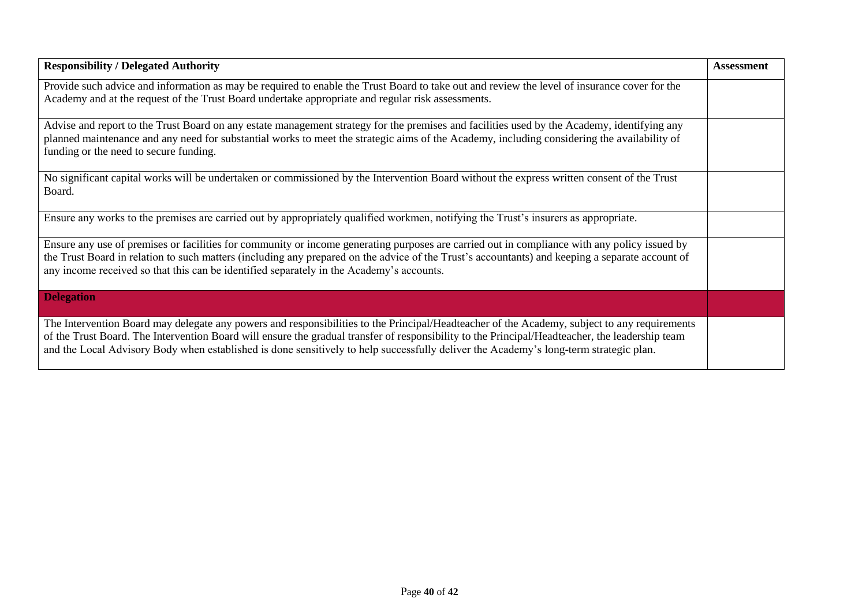| <b>Responsibility / Delegated Authority</b>                                                                                                                                                                                                                                                                                                                                                                                              | <b>Assessment</b> |
|------------------------------------------------------------------------------------------------------------------------------------------------------------------------------------------------------------------------------------------------------------------------------------------------------------------------------------------------------------------------------------------------------------------------------------------|-------------------|
| Provide such advice and information as may be required to enable the Trust Board to take out and review the level of insurance cover for the<br>Academy and at the request of the Trust Board undertake appropriate and regular risk assessments.                                                                                                                                                                                        |                   |
| Advise and report to the Trust Board on any estate management strategy for the premises and facilities used by the Academy, identifying any<br>planned maintenance and any need for substantial works to meet the strategic aims of the Academy, including considering the availability of<br>funding or the need to secure funding.                                                                                                     |                   |
| No significant capital works will be undertaken or commissioned by the Intervention Board without the express written consent of the Trust<br>Board.                                                                                                                                                                                                                                                                                     |                   |
| Ensure any works to the premises are carried out by appropriately qualified workmen, notifying the Trust's insurers as appropriate.                                                                                                                                                                                                                                                                                                      |                   |
| Ensure any use of premises or facilities for community or income generating purposes are carried out in compliance with any policy issued by<br>the Trust Board in relation to such matters (including any prepared on the advice of the Trust's accountants) and keeping a separate account of<br>any income received so that this can be identified separately in the Academy's accounts.                                              |                   |
| <b>Delegation</b>                                                                                                                                                                                                                                                                                                                                                                                                                        |                   |
| The Intervention Board may delegate any powers and responsibilities to the Principal/Headteacher of the Academy, subject to any requirements<br>of the Trust Board. The Intervention Board will ensure the gradual transfer of responsibility to the Principal/Headteacher, the leadership team<br>and the Local Advisory Body when established is done sensitively to help successfully deliver the Academy's long-term strategic plan. |                   |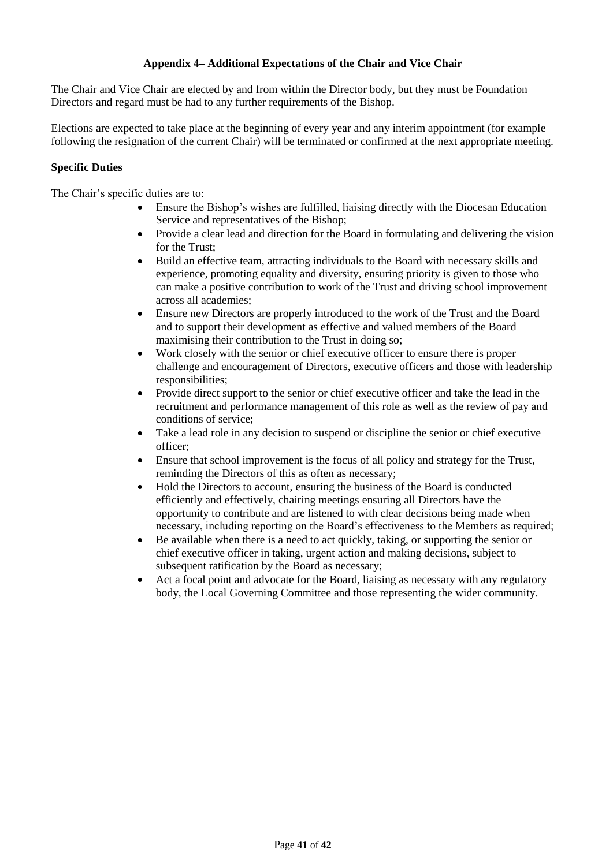# **Appendix 4– Additional Expectations of the Chair and Vice Chair**

The Chair and Vice Chair are elected by and from within the Director body, but they must be Foundation Directors and regard must be had to any further requirements of the Bishop.

Elections are expected to take place at the beginning of every year and any interim appointment (for example following the resignation of the current Chair) will be terminated or confirmed at the next appropriate meeting.

## **Specific Duties**

The Chair's specific duties are to:

- Ensure the Bishop's wishes are fulfilled, liaising directly with the Diocesan Education Service and representatives of the Bishop;
- Provide a clear lead and direction for the Board in formulating and delivering the vision for the Trust;
- Build an effective team, attracting individuals to the Board with necessary skills and experience, promoting equality and diversity, ensuring priority is given to those who can make a positive contribution to work of the Trust and driving school improvement across all academies;
- Ensure new Directors are properly introduced to the work of the Trust and the Board and to support their development as effective and valued members of the Board maximising their contribution to the Trust in doing so;
- Work closely with the senior or chief executive officer to ensure there is proper challenge and encouragement of Directors, executive officers and those with leadership responsibilities;
- Provide direct support to the senior or chief executive officer and take the lead in the recruitment and performance management of this role as well as the review of pay and conditions of service;
- Take a lead role in any decision to suspend or discipline the senior or chief executive officer;
- Ensure that school improvement is the focus of all policy and strategy for the Trust, reminding the Directors of this as often as necessary;
- Hold the Directors to account, ensuring the business of the Board is conducted efficiently and effectively, chairing meetings ensuring all Directors have the opportunity to contribute and are listened to with clear decisions being made when necessary, including reporting on the Board's effectiveness to the Members as required;
- Be available when there is a need to act quickly, taking, or supporting the senior or chief executive officer in taking, urgent action and making decisions, subject to subsequent ratification by the Board as necessary;
- Act a focal point and advocate for the Board, liaising as necessary with any regulatory body, the Local Governing Committee and those representing the wider community.